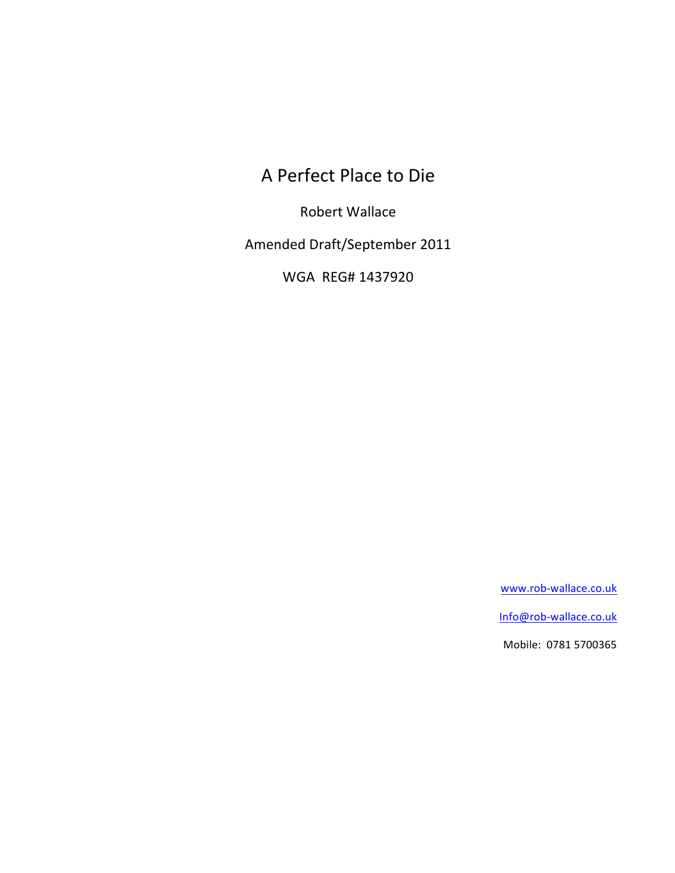A Perfect Place to Die

Robert Wallace

Amended Draft/September 2011

WGA REG# 1437920

www.rob-wallace.co.uk

Info@rob-wallace.co.uk

Mobile: 0781 5700365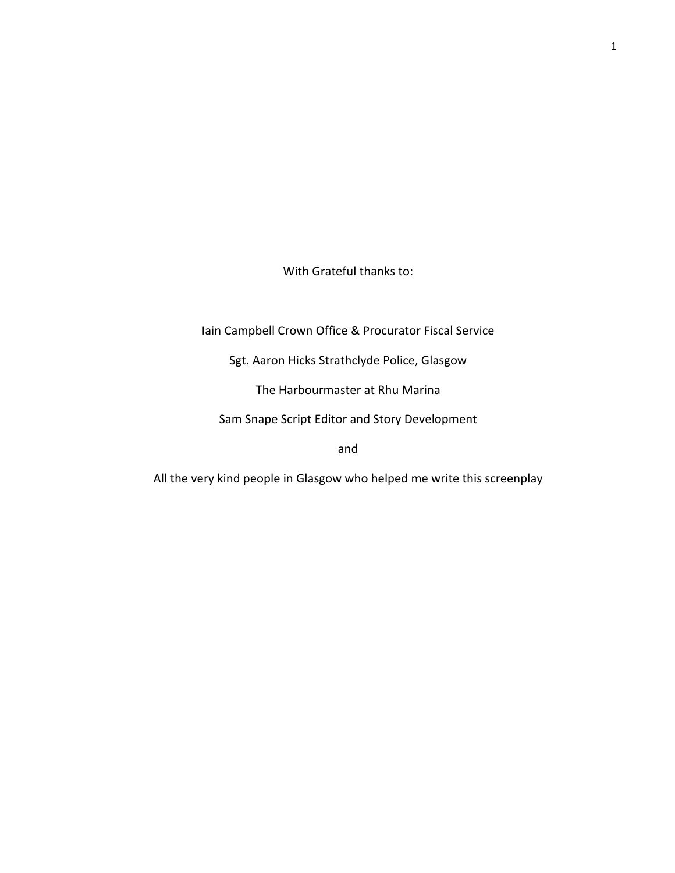With Grateful thanks to:

Iain Campbell Crown Office & Procurator Fiscal Service

Sgt. Aaron Hicks Strathclyde Police, Glasgow

The Harbourmaster at Rhu Marina

Sam Snape Script Editor and Story Development

and

All the very kind people in Glasgow who helped me write this screenplay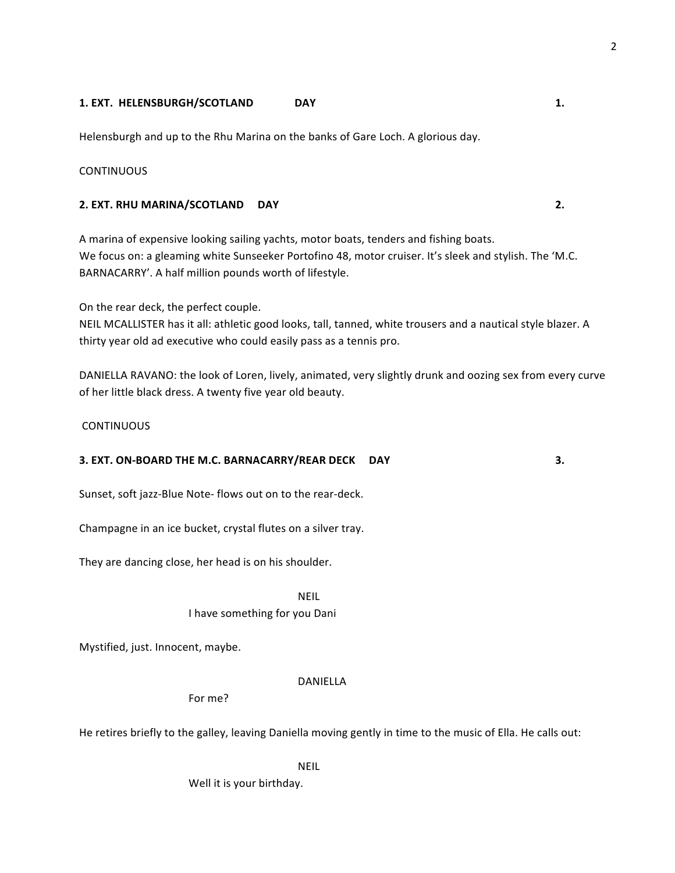# **1. EXT. HELENSBURGH/SCOTLAND DAY 1.**

Helensburgh and up to the Rhu Marina on the banks of Gare Loch. A glorious day.

# **CONTINUOUS**

# **2. EXT. RHU MARINA/SCOTLAND DAY 2.**

A marina of expensive looking sailing yachts, motor boats, tenders and fishing boats. We focus on: a gleaming white Sunseeker Portofino 48, motor cruiser. It's sleek and stylish. The 'M.C. BARNACARRY'. A half million pounds worth of lifestyle.

On the rear deck, the perfect couple.

NEIL MCALLISTER has it all: athletic good looks, tall, tanned, white trousers and a nautical style blazer. A thirty year old ad executive who could easily pass as a tennis pro.

DANIELLA RAVANO: the look of Loren, lively, animated, very slightly drunk and oozing sex from every curve of her little black dress. A twenty five year old beauty.

# **CONTINUOUS**

# **3. EXT. ON-BOARD THE M.C. BARNACARRY/REAR DECK DAY 3.**

Sunset, soft jazz-Blue Note- flows out on to the rear-deck.

Champagne in an ice bucket, crystal flutes on a silver tray.

They are dancing close, her head is on his shoulder.

NEIL

I have something for you Dani

Mystified, just. Innocent, maybe.

# DANIELLA

For me?

He retires briefly to the galley, leaving Daniella moving gently in time to the music of Ella. He calls out:

NEIL

Well it is your birthday.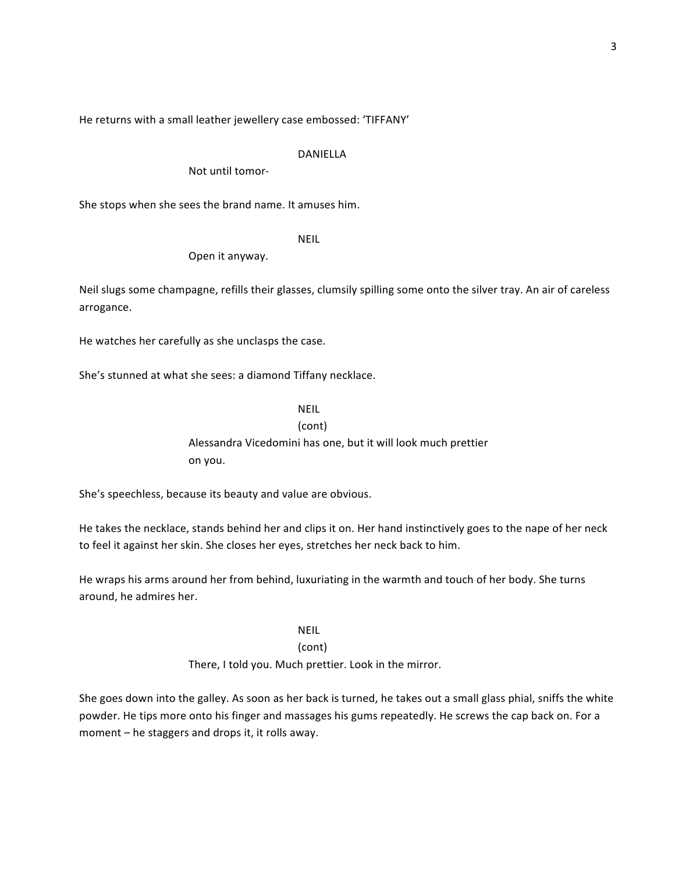He returns with a small leather jewellery case embossed: 'TIFFANY'

#### DANIELLA

Not until tomor-

She stops when she sees the brand name. It amuses him.

NEIL

Open it anyway.

Neil slugs some champagne, refills their glasses, clumsily spilling some onto the silver tray. An air of careless arrogance.

He watches her carefully as she unclasps the case.

She's stunned at what she sees: a diamond Tiffany necklace.

NEIL

(cont)

Alessandra Vicedomini has one, but it will look much prettier on you.

She's speechless, because its beauty and value are obvious.

He takes the necklace, stands behind her and clips it on. Her hand instinctively goes to the nape of her neck to feel it against her skin. She closes her eyes, stretches her neck back to him.

He wraps his arms around her from behind, luxuriating in the warmth and touch of her body. She turns around, he admires her.

NEIL

#### (cont)

There, I told you. Much prettier. Look in the mirror.

She goes down into the galley. As soon as her back is turned, he takes out a small glass phial, sniffs the white powder. He tips more onto his finger and massages his gums repeatedly. He screws the cap back on. For a moment  $-$  he staggers and drops it, it rolls away.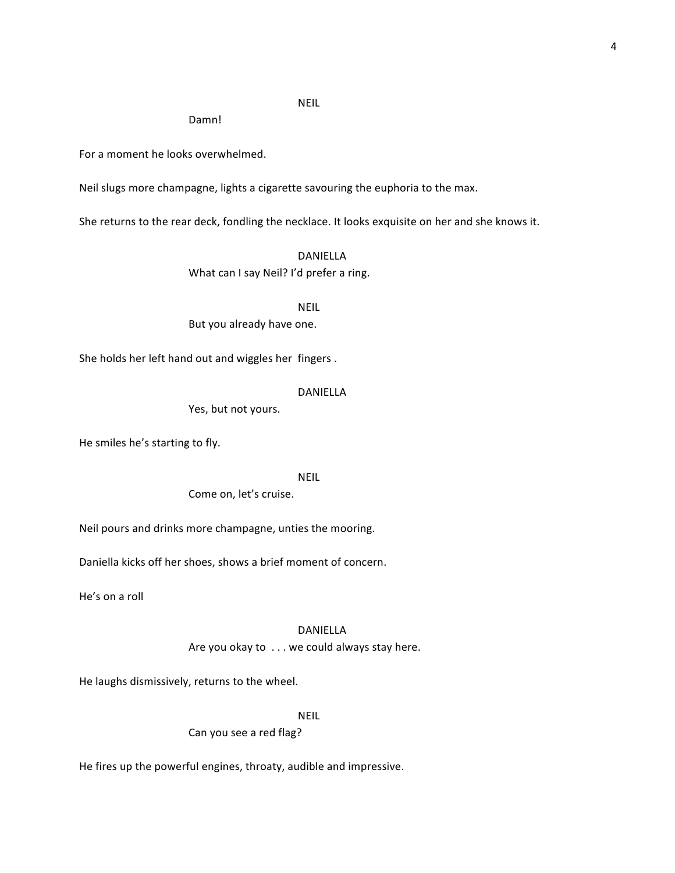# NEIL

Damn!

For a moment he looks overwhelmed.

Neil slugs more champagne, lights a cigarette savouring the euphoria to the max.

She returns to the rear deck, fondling the necklace. It looks exquisite on her and she knows it.

DANIELLA What can I say Neil? I'd prefer a ring.

NEIL

But you already have one.

She holds her left hand out and wiggles her fingers.

#### DANIELLA

Yes, but not yours.

He smiles he's starting to fly.

NEIL

Come on, let's cruise.

Neil pours and drinks more champagne, unties the mooring.

Daniella kicks off her shoes, shows a brief moment of concern.

He's on a roll

#### DANIELLA

Are you okay to  $\dots$  we could always stay here.

He laughs dismissively, returns to the wheel.

NEIL

Can you see a red flag?

He fires up the powerful engines, throaty, audible and impressive.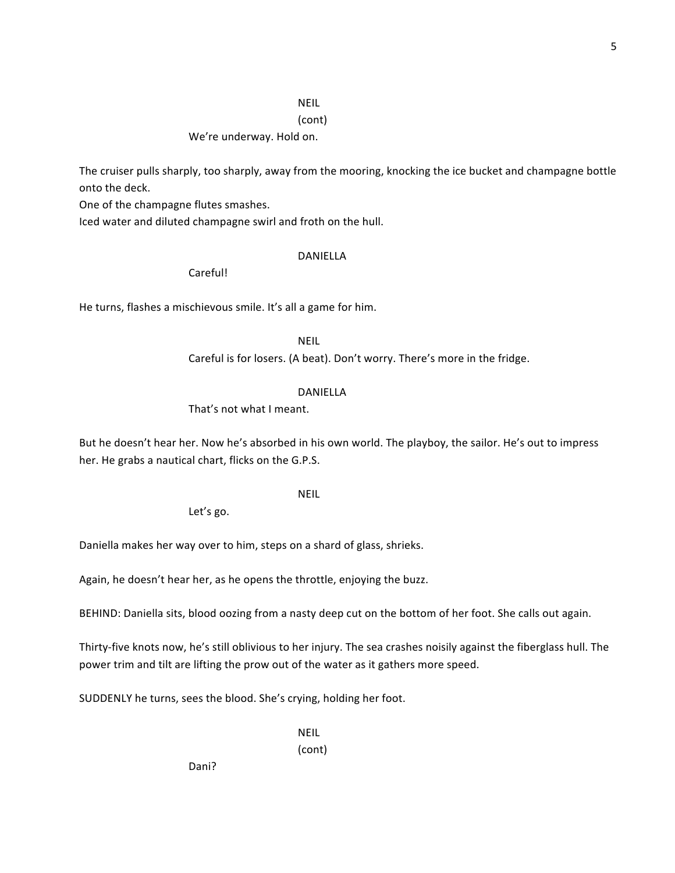# NEIL

# (cont)

# We're underway. Hold on.

The cruiser pulls sharply, too sharply, away from the mooring, knocking the ice bucket and champagne bottle onto the deck.

One of the champagne flutes smashes.

Iced water and diluted champagne swirl and froth on the hull.

#### DANIELLA

Careful!

He turns, flashes a mischievous smile. It's all a game for him.

NEIL

Careful is for losers. (A beat). Don't worry. There's more in the fridge.

# DANIELLA

That's not what I meant.

But he doesn't hear her. Now he's absorbed in his own world. The playboy, the sailor. He's out to impress her. He grabs a nautical chart, flicks on the G.P.S.

# NEIL

Let's go.

Daniella makes her way over to him, steps on a shard of glass, shrieks.

Again, he doesn't hear her, as he opens the throttle, enjoying the buzz.

BEHIND: Daniella sits, blood oozing from a nasty deep cut on the bottom of her foot. She calls out again.

Thirty-five knots now, he's still oblivious to her injury. The sea crashes noisily against the fiberglass hull. The power trim and tilt are lifting the prow out of the water as it gathers more speed.

SUDDENLY he turns, sees the blood. She's crying, holding her foot.

NEIL

(cont)

Dani?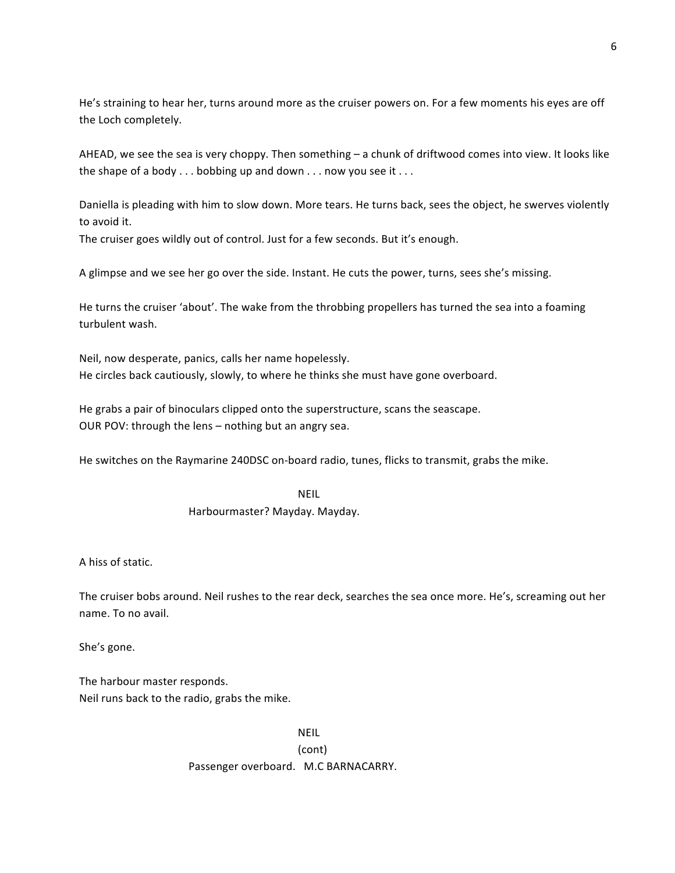He's straining to hear her, turns around more as the cruiser powers on. For a few moments his eyes are off the Loch completely.

AHEAD, we see the sea is very choppy. Then something  $-$  a chunk of driftwood comes into view. It looks like the shape of a body  $\dots$  bobbing up and down  $\dots$  now you see it  $\dots$ 

Daniella is pleading with him to slow down. More tears. He turns back, sees the object, he swerves violently to avoid it.

The cruiser goes wildly out of control. Just for a few seconds. But it's enough.

A glimpse and we see her go over the side. Instant. He cuts the power, turns, sees she's missing.

He turns the cruiser 'about'. The wake from the throbbing propellers has turned the sea into a foaming turbulent wash.

Neil, now desperate, panics, calls her name hopelessly. He circles back cautiously, slowly, to where he thinks she must have gone overboard.

He grabs a pair of binoculars clipped onto the superstructure, scans the seascape. OUR POV: through the lens - nothing but an angry sea.

He switches on the Raymarine 240DSC on-board radio, tunes, flicks to transmit, grabs the mike.

NEIL Harbourmaster? Mayday. Mayday.

A hiss of static.

The cruiser bobs around. Neil rushes to the rear deck, searches the sea once more. He's, screaming out her name. To no avail.

She's gone.

The harbour master responds. Neil runs back to the radio, grabs the mike.

> NEIL (cont) Passenger overboard. M.C BARNACARRY.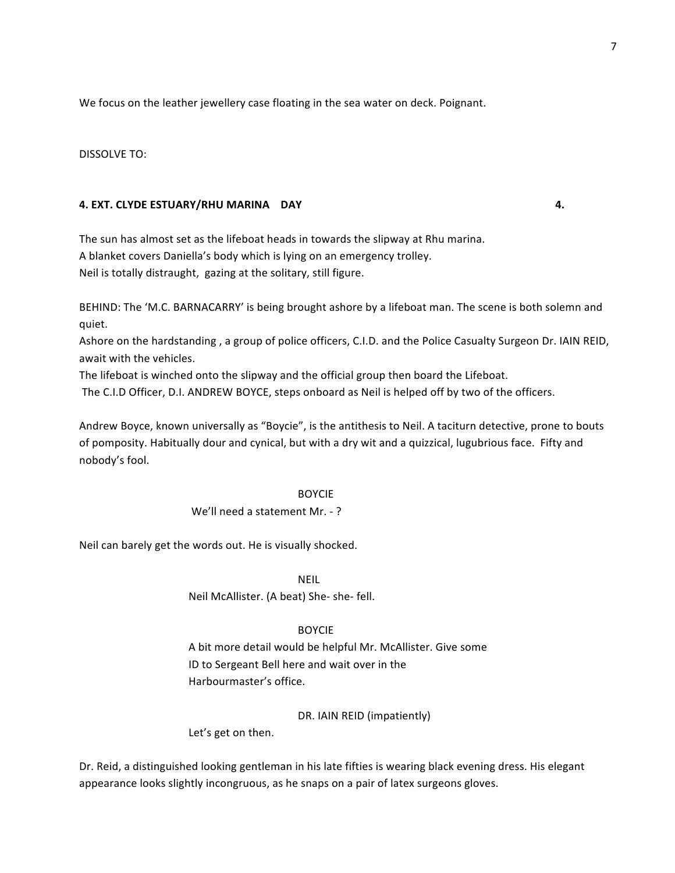We focus on the leather jewellery case floating in the sea water on deck. Poignant.

DISSOLVE TO:

# **4. EXT. CLYDE ESTUARY/RHU MARINA DAY 4.**

The sun has almost set as the lifeboat heads in towards the slipway at Rhu marina. A blanket covers Daniella's body which is lying on an emergency trolley. Neil is totally distraught, gazing at the solitary, still figure.

BEHIND: The 'M.C. BARNACARRY' is being brought ashore by a lifeboat man. The scene is both solemn and quiet.

Ashore on the hardstanding, a group of police officers, C.I.D. and the Police Casualty Surgeon Dr. IAIN REID, await with the vehicles.

The lifeboat is winched onto the slipway and the official group then board the Lifeboat.

The C.I.D Officer, D.I. ANDREW BOYCE, steps onboard as Neil is helped off by two of the officers.

Andrew Boyce, known universally as "Boycie", is the antithesis to Neil. A taciturn detective, prone to bouts of pomposity. Habitually dour and cynical, but with a dry wit and a quizzical, lugubrious face. Fifty and nobody's fool.

# **BOYCIE**

# We'll need a statement Mr. -?

Neil can barely get the words out. He is visually shocked.

NEIL

Neil McAllister. (A beat) She- she- fell.

# BOYCIE

A bit more detail would be helpful Mr. McAllister. Give some ID to Sergeant Bell here and wait over in the Harbourmaster's office.

DR. IAIN REID (impatiently)

Let's get on then.

Dr. Reid, a distinguished looking gentleman in his late fifties is wearing black evening dress. His elegant appearance looks slightly incongruous, as he snaps on a pair of latex surgeons gloves.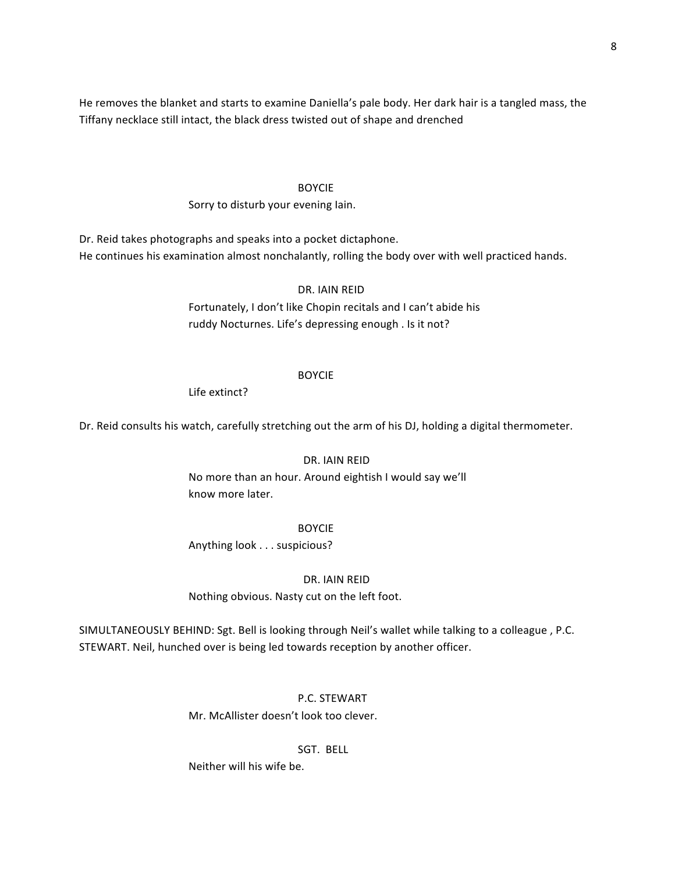He removes the blanket and starts to examine Daniella's pale body. Her dark hair is a tangled mass, the Tiffany necklace still intact, the black dress twisted out of shape and drenched

#### BOYCIE

# Sorry to disturb your evening lain.

Dr. Reid takes photographs and speaks into a pocket dictaphone. He continues his examination almost nonchalantly, rolling the body over with well practiced hands.

DR. IAIN REID

Fortunately, I don't like Chopin recitals and I can't abide his ruddy Nocturnes. Life's depressing enough . Is it not?

#### BOYCIE

Life extinct?

Dr. Reid consults his watch, carefully stretching out the arm of his DJ, holding a digital thermometer.

# DR. IAIN REID

No more than an hour. Around eightish I would say we'll know more later.

#### BOYCIE

Anything look . . . suspicious?

# DR. IAIN REID

Nothing obvious. Nasty cut on the left foot.

SIMULTANEOUSLY BEHIND: Sgt. Bell is looking through Neil's wallet while talking to a colleague, P.C. STEWART. Neil, hunched over is being led towards reception by another officer.

# P.C. STEWART

Mr. McAllister doesn't look too clever.

# SGT. BELL

Neither will his wife be.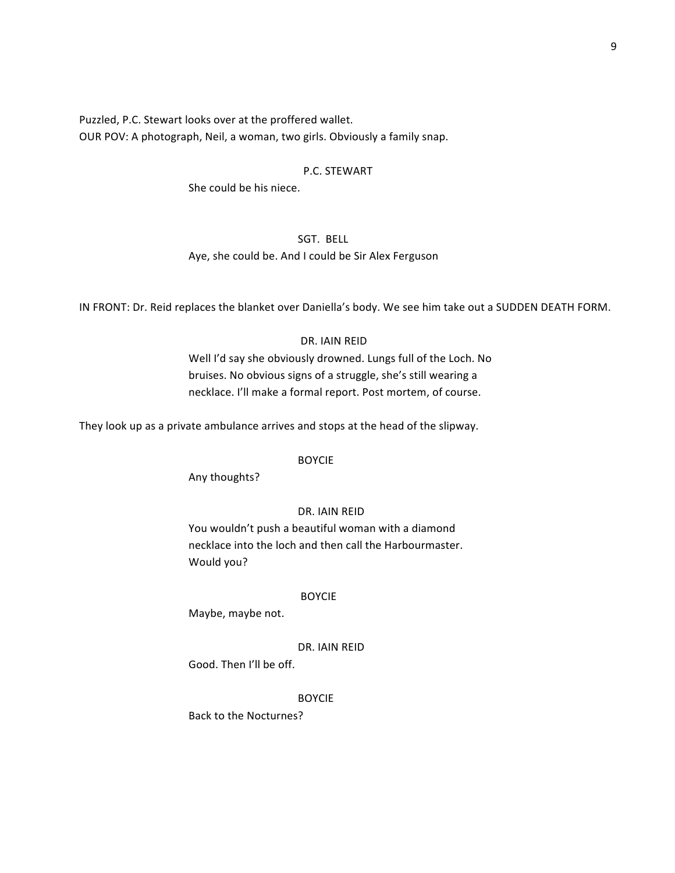Puzzled, P.C. Stewart looks over at the proffered wallet. OUR POV: A photograph, Neil, a woman, two girls. Obviously a family snap.

# P.C. STEWART

She could be his niece.

# SGT. BELL

Aye, she could be. And I could be Sir Alex Ferguson

IN FRONT: Dr. Reid replaces the blanket over Daniella's body. We see him take out a SUDDEN DEATH FORM.

#### DR. IAIN REID

Well I'd say she obviously drowned. Lungs full of the Loch. No bruises. No obvious signs of a struggle, she's still wearing a necklace. I'll make a formal report. Post mortem, of course.

They look up as a private ambulance arrives and stops at the head of the slipway.

#### BOYCIE

Any thoughts?

# DR. IAIN REID

You wouldn't push a beautiful woman with a diamond necklace into the loch and then call the Harbourmaster. Would you?

#### BOYCIE

Maybe, maybe not.

#### DR. IAIN REID

Good. Then I'll be off.

#### BOYCIE

Back to the Nocturnes?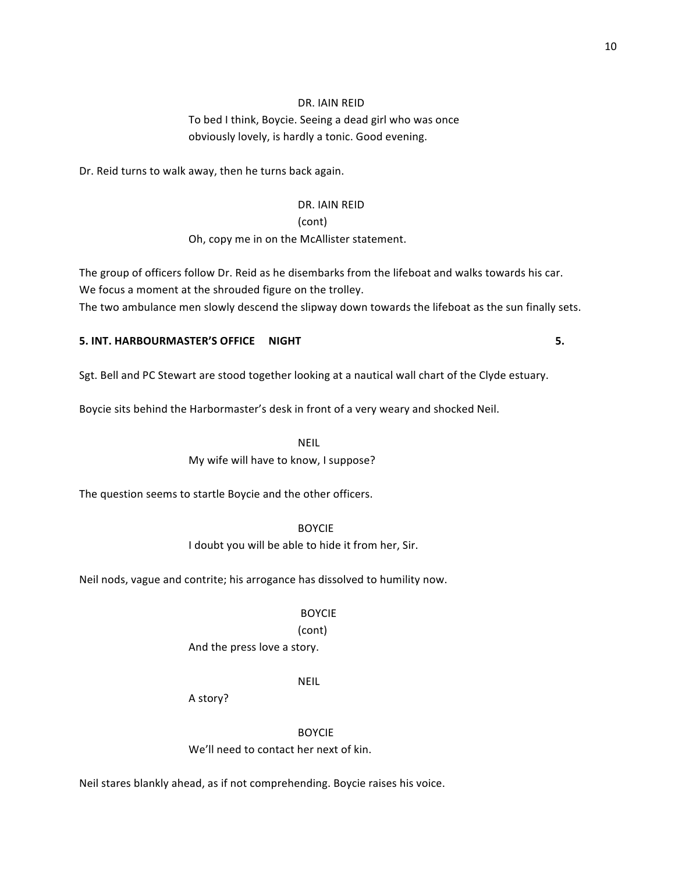# DR. IAIN REID

# To bed I think, Boycie. Seeing a dead girl who was once obviously lovely, is hardly a tonic. Good evening.

Dr. Reid turns to walk away, then he turns back again.

# DR. IAIN REID

(cont)

# Oh, copy me in on the McAllister statement.

The group of officers follow Dr. Reid as he disembarks from the lifeboat and walks towards his car. We focus a moment at the shrouded figure on the trolley. The two ambulance men slowly descend the slipway down towards the lifeboat as the sun finally sets.

# **5. INT. HARBOURMASTER'S OFFICE MIGHT AND ALL AND AREA CONTROLLY AND AREA CONTROLLY AND AREA CONTROLLY AND AREA CONTROLLY AND AREA CONTROLLY AND AREA CONTROLLY AND AREA CONTROLLY AND AREA CONTROLLY AND AREA CONTROLLY AND A**

Sgt. Bell and PC Stewart are stood together looking at a nautical wall chart of the Clyde estuary.

Boycie sits behind the Harbormaster's desk in front of a very weary and shocked Neil.

NEIL My wife will have to know, I suppose?

The question seems to startle Boycie and the other officers.

BOYCIE I doubt you will be able to hide it from her, Sir.

Neil nods, vague and contrite; his arrogance has dissolved to humility now.

#### BOYCIE

# (cont)

And the press love a story.

NEIL

A story?

BOYCIE We'll need to contact her next of kin.

Neil stares blankly ahead, as if not comprehending. Boycie raises his voice.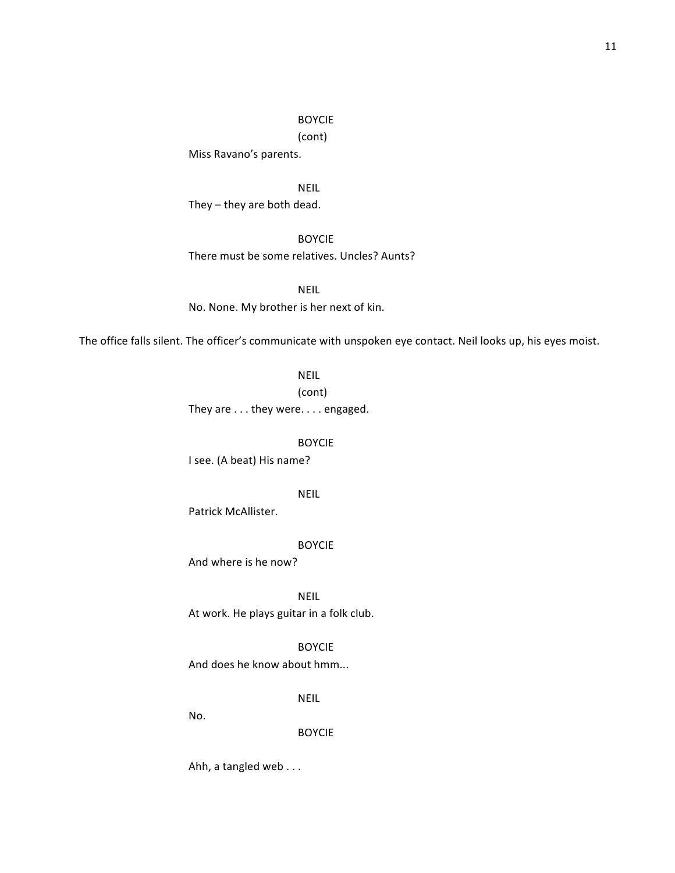(cont)

Miss Ravano's parents.

NEIL They  $-$  they are both dead.

BOYCIE There must be some relatives. Uncles? Aunts?

NEIL No. None. My brother is her next of kin.

The office falls silent. The officer's communicate with unspoken eye contact. Neil looks up, his eyes moist.

NEIL

(cont)

They are  $\dots$  they were.  $\dots$  engaged.

BOYCIE 

I see. (A beat) His name?

NEIL

Patrick McAllister.

BOYCIE 

And where is he now?

NEIL

At work. He plays guitar in a folk club.

BOYCIE

And does he know about hmm...

NEIL

No.

BOYCIE

Ahh, a tangled web . . .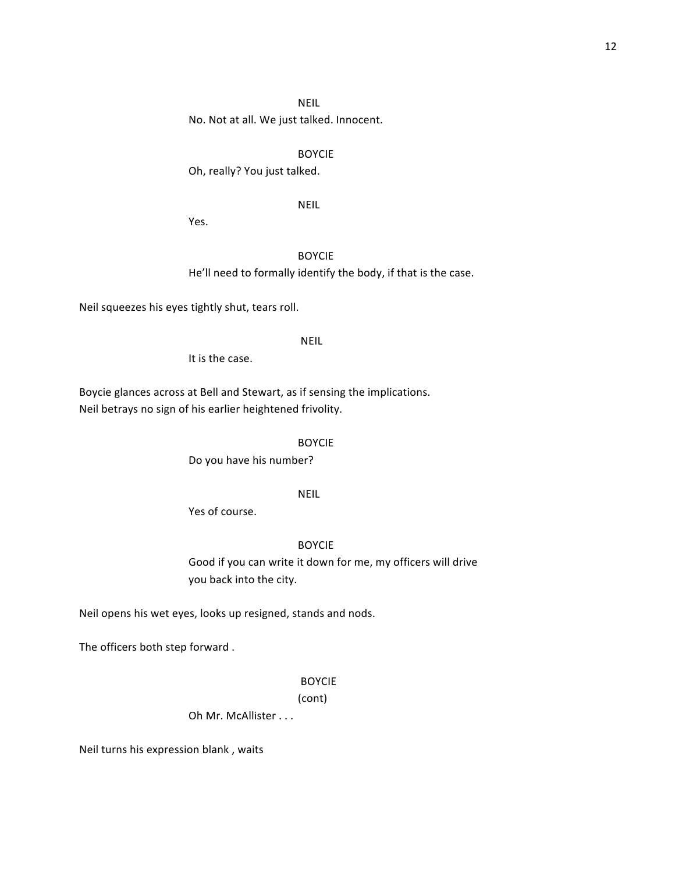# NEIL

No. Not at all. We just talked. Innocent.

#### BOYCIE

Oh, really? You just talked.

#### NEIL

Yes.

# BOYCIE

He'll need to formally identify the body, if that is the case.

Neil squeezes his eyes tightly shut, tears roll.

#### NEIL

It is the case.

Boycie glances across at Bell and Stewart, as if sensing the implications. Neil betrays no sign of his earlier heightened frivolity.

BOYCIE 

Do you have his number?

# NEIL

Yes of course.

# BOYCIE

Good if you can write it down for me, my officers will drive you back into the city.

Neil opens his wet eyes, looks up resigned, stands and nods.

The officers both step forward.

#### BOYCIE

(cont)

Oh Mr. McAllister . . .

Neil turns his expression blank, waits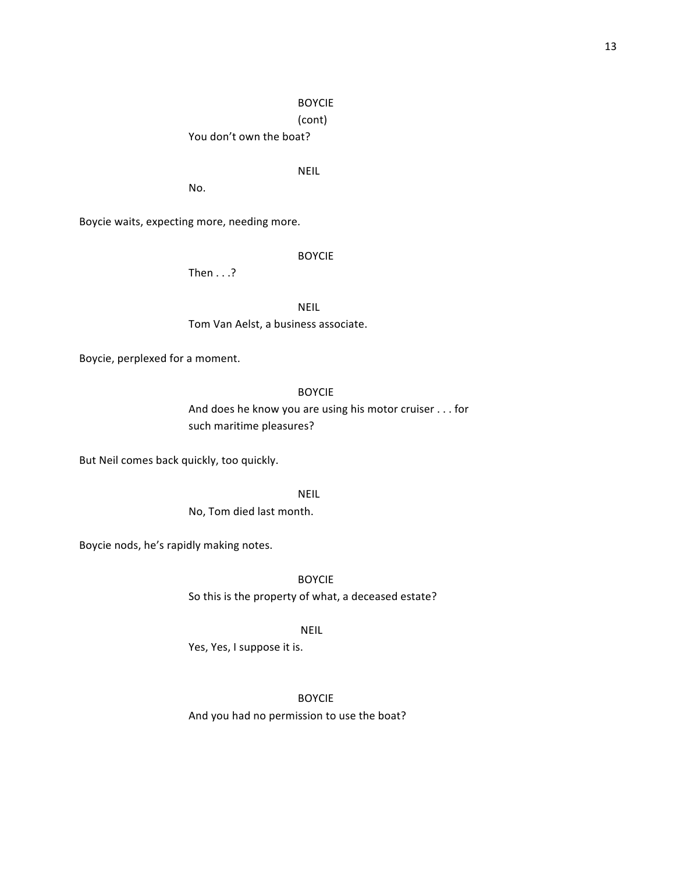(cont)

You don't own the boat?

# NEIL

No.

Boycie waits, expecting more, needing more.

BOYCIE 

Then  $\ldots$ ?

NEIL

Tom Van Aelst, a business associate.

Boycie, perplexed for a moment.

# BOYCIE

And does he know you are using his motor cruiser . . . for such maritime pleasures?

But Neil comes back quickly, too quickly.

NEIL

No, Tom died last month.

Boycie nods, he's rapidly making notes.

BOYCIE 

So this is the property of what, a deceased estate?

NEIL

Yes, Yes, I suppose it is.

BOYCIE 

And you had no permission to use the boat?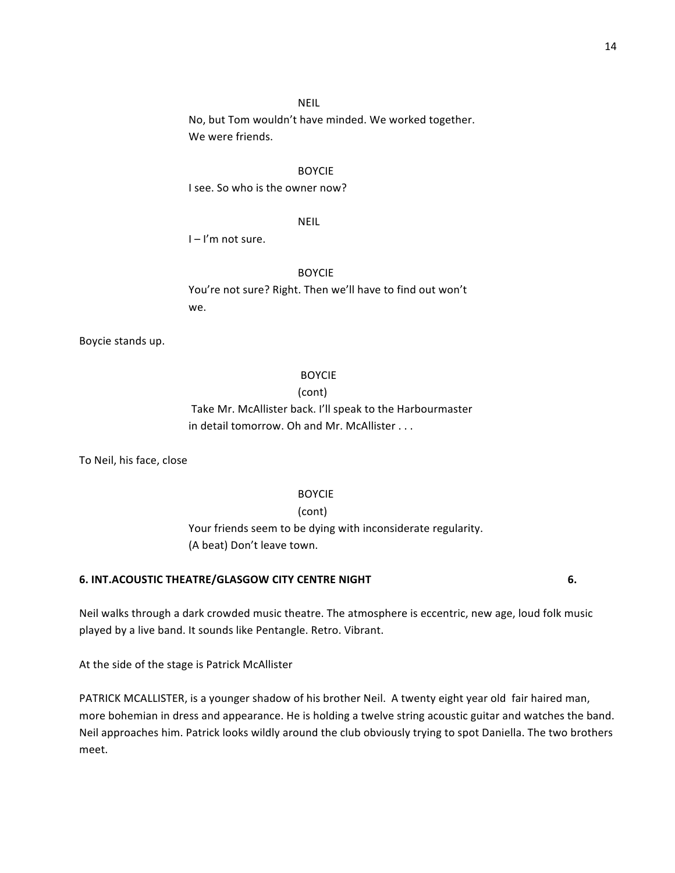# NEIL

No, but Tom wouldn't have minded. We worked together. We were friends.

#### BOYCIE

I see. So who is the owner now?

# NEIL

 $I - I'm$  not sure.

#### BOYCIE

You're not sure? Right. Then we'll have to find out won't we.

Boycie stands up.

#### BOYCIE

#### (cont)

Take Mr. McAllister back. I'll speak to the Harbourmaster in detail tomorrow. Oh and Mr. McAllister . . .

To Neil, his face, close

#### BOYCIE

(cont)

Your friends seem to be dying with inconsiderate regularity. (A beat) Don't leave town.

# **6. INT.ACOUSTIC THEATRE/GLASGOW CITY CENTRE NIGHT 6.**

Neil walks through a dark crowded music theatre. The atmosphere is eccentric, new age, loud folk music played by a live band. It sounds like Pentangle. Retro. Vibrant.

At the side of the stage is Patrick McAllister

PATRICK MCALLISTER, is a younger shadow of his brother Neil. A twenty eight year old fair haired man, more bohemian in dress and appearance. He is holding a twelve string acoustic guitar and watches the band. Neil approaches him. Patrick looks wildly around the club obviously trying to spot Daniella. The two brothers meet.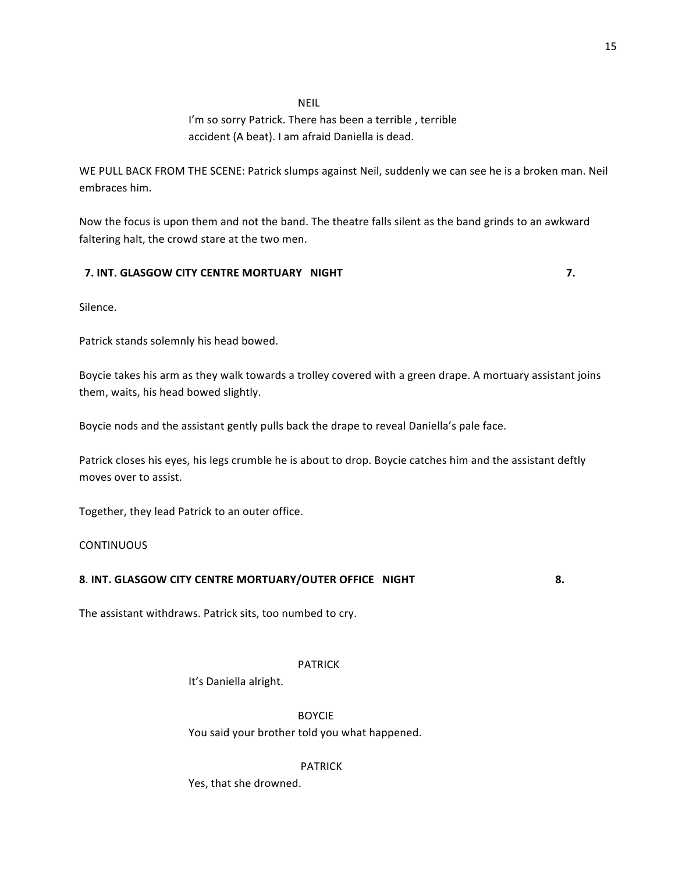# NEIL

# I'm so sorry Patrick. There has been a terrible, terrible accident (A beat). I am afraid Daniella is dead.

WE PULL BACK FROM THE SCENE: Patrick slumps against Neil, suddenly we can see he is a broken man. Neil embraces him.

Now the focus is upon them and not the band. The theatre falls silent as the band grinds to an awkward faltering halt, the crowd stare at the two men.

# **7.** INT. GLASGOW CITY CENTRE MORTUARY NIGHT **And the CONTREMORT CONTREMORT OF A CONTREMORT OF A CONTREMORT OF A CONTREMORT OF A CONTREMORT OF A CONTREMORT OF A CONTREMORT OF A CONTREMORT OF A CONTREMORT OF A CONTREMORT OF**

Silence.

Patrick stands solemnly his head bowed.

Boycie takes his arm as they walk towards a trolley covered with a green drape. A mortuary assistant joins them, waits, his head bowed slightly.

Boycie nods and the assistant gently pulls back the drape to reveal Daniella's pale face.

Patrick closes his eyes, his legs crumble he is about to drop. Boycie catches him and the assistant deftly moves over to assist.

Together, they lead Patrick to an outer office.

# **CONTINUOUS**

# **8. INT. GLASGOW CITY CENTRE MORTUARY/OUTER OFFICE NIGHT**  $\qquad$  **8.**

The assistant withdraws. Patrick sits, too numbed to cry.

# PATRICK

It's Daniella alright.

BOYCIE

You said your brother told you what happened.

# PATRICK

Yes, that she drowned.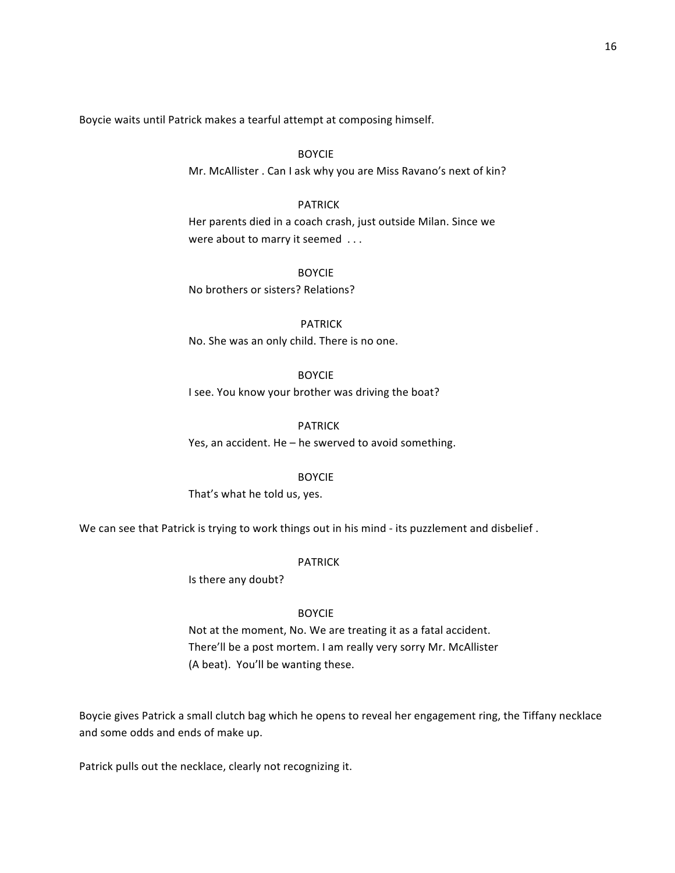Boycie waits until Patrick makes a tearful attempt at composing himself.

BOYCIE Mr. McAllister . Can I ask why you are Miss Ravano's next of kin?

# PATRICK

Her parents died in a coach crash, just outside Milan. Since we were about to marry it seemed  $\dots$ 

BOYCIE No brothers or sisters? Relations?

PATRICK No. She was an only child. There is no one.

# BOYCIE

I see. You know your brother was driving the boat?

#### PATRICK

Yes, an accident. He  $-$  he swerved to avoid something.

BOYCIE

That's what he told us, yes.

We can see that Patrick is trying to work things out in his mind - its puzzlement and disbelief .

#### PATRICK

Is there any doubt?

#### BOYCIE

Not at the moment, No. We are treating it as a fatal accident. There'll be a post mortem. I am really very sorry Mr. McAllister (A beat). You'll be wanting these.

Boycie gives Patrick a small clutch bag which he opens to reveal her engagement ring, the Tiffany necklace and some odds and ends of make up.

Patrick pulls out the necklace, clearly not recognizing it.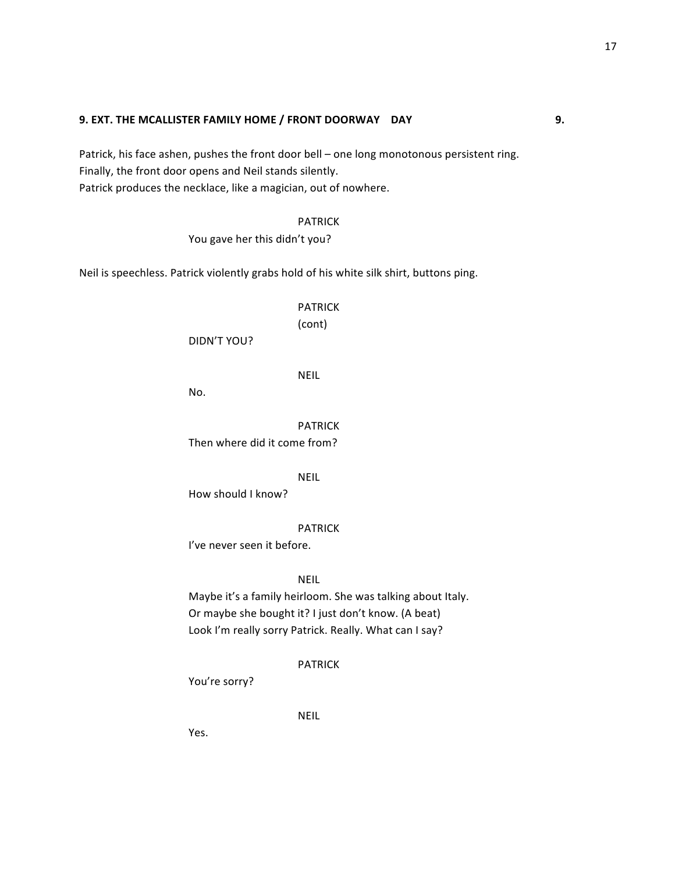#### **9. EXT. THE MCALLISTER FAMILY HOME / FRONT DOORWAY** DAY **19. In the same of the same of the same of the same of the same of the same of the same of the same of the same of the same of the same of the same of the same of t**

Patrick, his face ashen, pushes the front door bell – one long monotonous persistent ring. Finally, the front door opens and Neil stands silently. Patrick produces the necklace, like a magician, out of nowhere.

PATRICK

You gave her this didn't you?

Neil is speechless. Patrick violently grabs hold of his white silk shirt, buttons ping.

PATRICK

(cont)

DIDN'T YOU?

NEIL

No.

PATRICK Then where did it come from?

NEIL

How should I know?

PATRICK

I've never seen it before.

NEIL

Maybe it's a family heirloom. She was talking about Italy. Or maybe she bought it? I just don't know. (A beat) Look I'm really sorry Patrick. Really. What can I say?

PATRICK

You're sorry?

NEIL

Yes.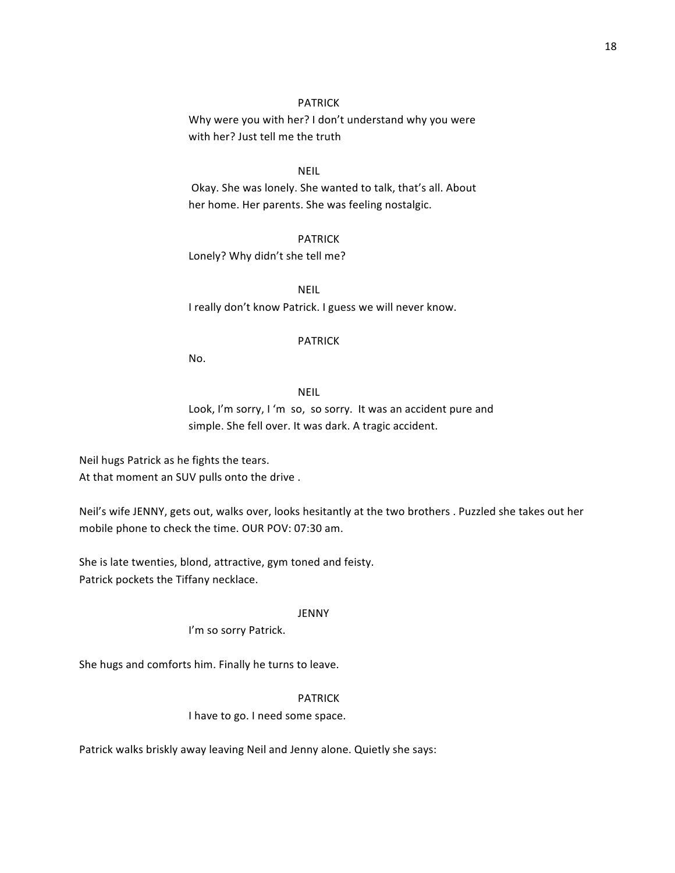# PATRICK

Why were you with her? I don't understand why you were with her? Just tell me the truth

# NEIL

Okay. She was lonely. She wanted to talk, that's all. About her home. Her parents. She was feeling nostalgic.

PATRICK Lonely? Why didn't she tell me?

NEIL I really don't know Patrick. I guess we will never know.

#### PATRICK

No.

#### NEIL

Look, I'm sorry, I 'm so, so sorry. It was an accident pure and simple. She fell over. It was dark. A tragic accident.

Neil hugs Patrick as he fights the tears. At that moment an SUV pulls onto the drive.

Neil's wife JENNY, gets out, walks over, looks hesitantly at the two brothers . Puzzled she takes out her mobile phone to check the time. OUR POV: 07:30 am.

She is late twenties, blond, attractive, gym toned and feisty. Patrick pockets the Tiffany necklace.

#### JENNY

I'm so sorry Patrick.

She hugs and comforts him. Finally he turns to leave.

# PATRICK

# I have to go. I need some space.

Patrick walks briskly away leaving Neil and Jenny alone. Quietly she says: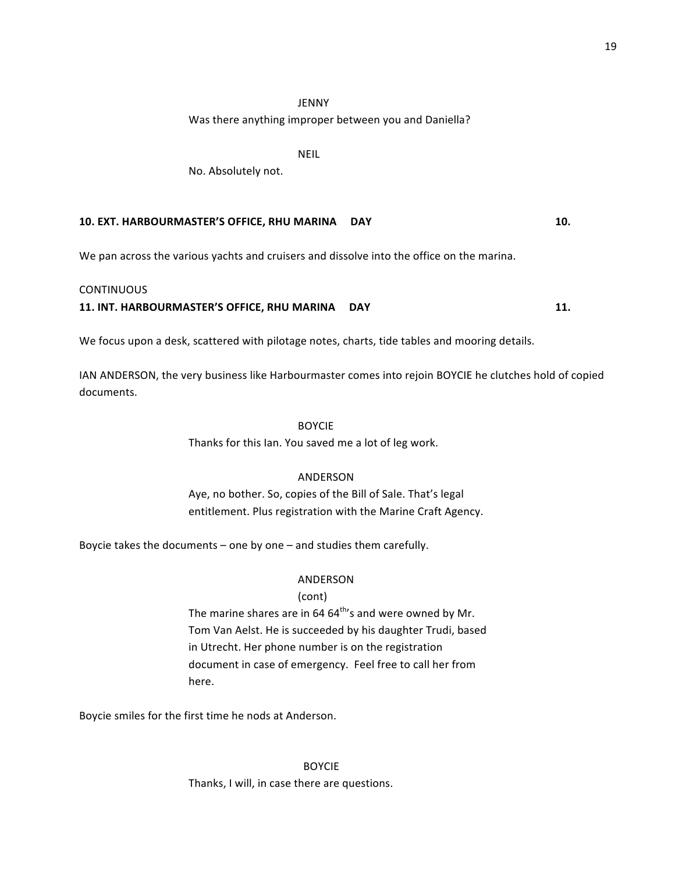# JENNY

Was there anything improper between you and Daniella?

NEIL

No. Absolutely not.

# **10. EXT. HARBOURMASTER'S OFFICE, RHU MARINA DAY 10.**

We pan across the various vachts and cruisers and dissolve into the office on the marina.

#### **CONTINUOUS**

**11. INT. HARBOURMASTER'S OFFICE, RHU MARINA CDAY 11. 11.** 

We focus upon a desk, scattered with pilotage notes, charts, tide tables and mooring details.

IAN ANDERSON, the very business like Harbourmaster comes into rejoin BOYCIE he clutches hold of copied documents.

#### BOYCIE

Thanks for this Ian. You saved me a lot of leg work.

# ANDERSON

Aye, no bother. So, copies of the Bill of Sale. That's legal entitlement. Plus registration with the Marine Craft Agency.

Boycie takes the documents  $-$  one by one  $-$  and studies them carefully.

# ANDERSON

# (cont)

The marine shares are in 64  $64^{\text{th}}$ 's and were owned by Mr. Tom Van Aelst. He is succeeded by his daughter Trudi, based in Utrecht. Her phone number is on the registration document in case of emergency. Feel free to call her from here.

Boycie smiles for the first time he nods at Anderson.

 BOYCIE Thanks, I will, in case there are questions.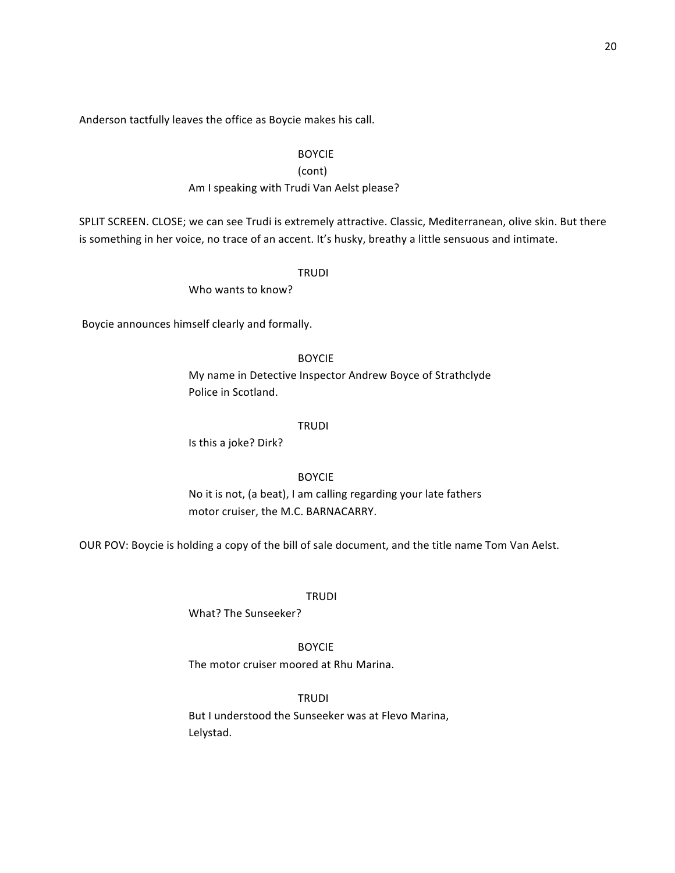Anderson tactfully leaves the office as Boycie makes his call.

# BOYCIE

# (cont)

# Am I speaking with Trudi Van Aelst please?

SPLIT SCREEN. CLOSE; we can see Trudi is extremely attractive. Classic, Mediterranean, olive skin. But there is something in her voice, no trace of an accent. It's husky, breathy a little sensuous and intimate.

#### TRUDI

Who wants to know?

Boycie announces himself clearly and formally.

# BOYCIE

My name in Detective Inspector Andrew Boyce of Strathclyde Police in Scotland.

#### **TRUDI**

Is this a joke? Dirk?

# BOYCIE

No it is not, (a beat), I am calling regarding your late fathers motor cruiser, the M.C. BARNACARRY.

OUR POV: Boycie is holding a copy of the bill of sale document, and the title name Tom Van Aelst.

#### **TRUDI**

What? The Sunseeker?

# BOYCIE

The motor cruiser moored at Rhu Marina.

# TRUDI

But I understood the Sunseeker was at Flevo Marina, Lelystad.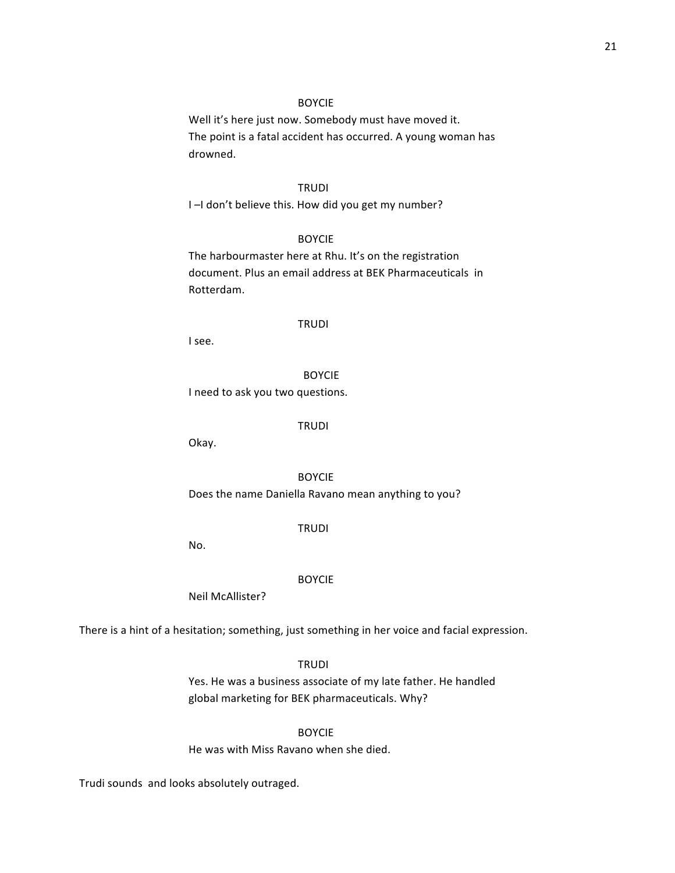Well it's here just now. Somebody must have moved it. The point is a fatal accident has occurred. A young woman has drowned.

# **TRUDI**

I -I don't believe this. How did you get my number?

#### BOYCIE

The harbourmaster here at Rhu. It's on the registration document. Plus an email address at BEK Pharmaceuticals in Rotterdam.

#### TRUDI

I see. 

#### BOYCIE

I need to ask you two questions.

#### **TRUDI**

Okay.

BOYCIE Does the name Daniella Ravano mean anything to you?

# TRUDI

No.

#### BOYCIE

Neil McAllister?

There is a hint of a hesitation; something, just something in her voice and facial expression.

**TRUDI** 

Yes. He was a business associate of my late father. He handled global marketing for BEK pharmaceuticals. Why?

BOYCIE

He was with Miss Ravano when she died.

Trudi sounds and looks absolutely outraged.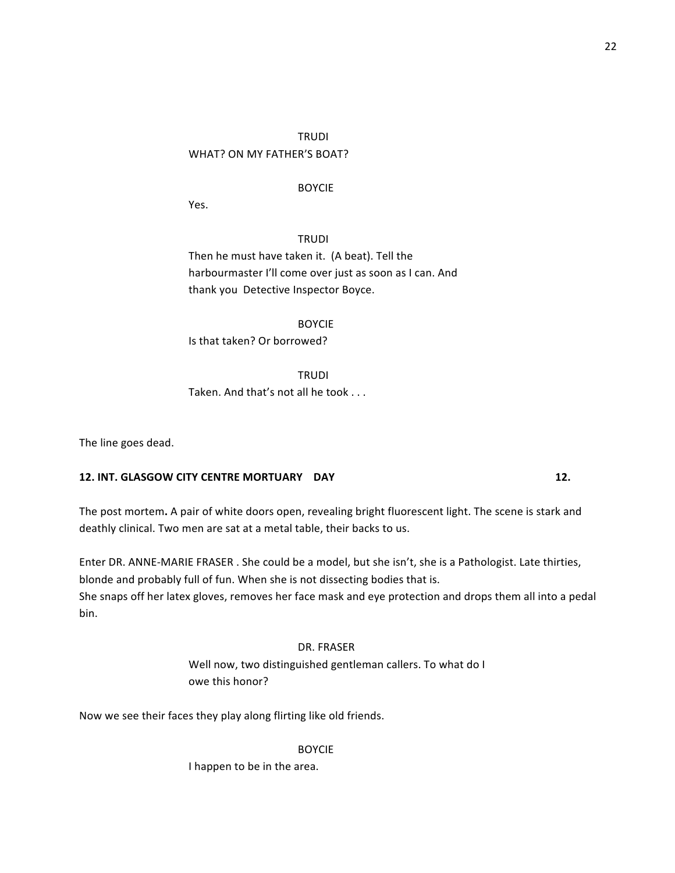# TRUDI WHAT? ON MY FATHER'S BOAT?

# BOYCIE

Yes.

**TRUDI** Then he must have taken it. (A beat). Tell the harbourmaster I'll come over just as soon as I can. And thank you Detective Inspector Boyce.

BOYCIE Is that taken? Or borrowed?

TRUDI Taken. And that's not all he took . . .

The line goes dead.

# **12. INT. GLASGOW CITY CENTRE MORTUARY DAY 12. 12.**

The post mortem. A pair of white doors open, revealing bright fluorescent light. The scene is stark and deathly clinical. Two men are sat at a metal table, their backs to us.

Enter DR. ANNE-MARIE FRASER . She could be a model, but she isn't, she is a Pathologist. Late thirties, blonde and probably full of fun. When she is not dissecting bodies that is. She snaps off her latex gloves, removes her face mask and eye protection and drops them all into a pedal bin. 

# DR. FRASER

Well now, two distinguished gentleman callers. To what do I owe this honor?

Now we see their faces they play along flirting like old friends.

BOYCIE

I happen to be in the area.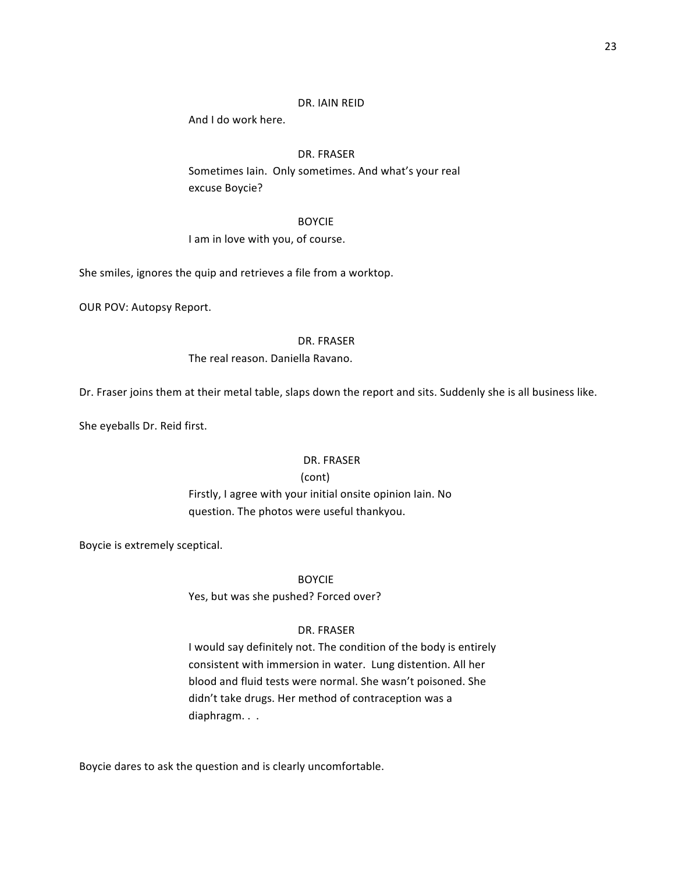#### 23

# DR. IAIN REID

And I do work here.

# DR. FRASER

Sometimes Iain. Only sometimes. And what's your real excuse Boycie?

#### BOYCIE

I am in love with you, of course.

She smiles, ignores the quip and retrieves a file from a worktop.

OUR POV: Autopsy Report.

#### DR. FRASER

#### The real reason. Daniella Ravano.

Dr. Fraser joins them at their metal table, slaps down the report and sits. Suddenly she is all business like.

She eyeballs Dr. Reid first.

#### DR. FRASER

#### (cont)

Firstly, I agree with your initial onsite opinion Iain. No question. The photos were useful thankyou.

Boycie is extremely sceptical.

BOYCIE

Yes, but was she pushed? Forced over?

#### DR. FRASER

I would say definitely not. The condition of the body is entirely consistent with immersion in water. Lung distention. All her blood and fluid tests were normal. She wasn't poisoned. She didn't take drugs. Her method of contraception was a diaphragm. . .

Boycie dares to ask the question and is clearly uncomfortable.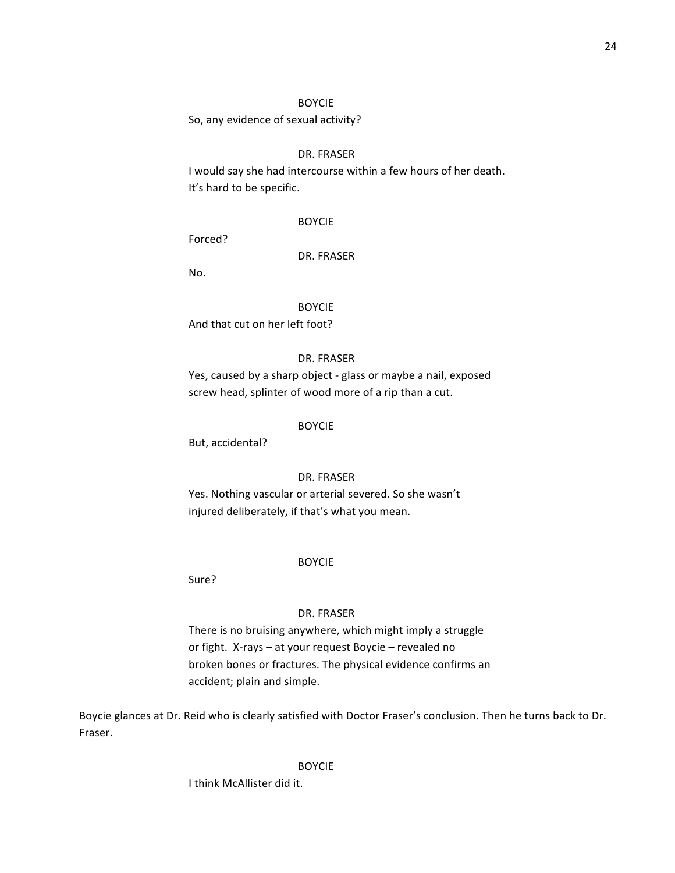So, any evidence of sexual activity?

#### DR. FRASER

I would say she had intercourse within a few hours of her death. It's hard to be specific.

#### BOYCIE

Forced? 

#### DR. FRASER

No.

# BOYCIE

And that cut on her left foot?

# DR. FRASER

Yes, caused by a sharp object - glass or maybe a nail, exposed screw head, splinter of wood more of a rip than a cut.

#### BOYCIE

But, accidental?

# DR. FRASER

Yes. Nothing vascular or arterial severed. So she wasn't injured deliberately, if that's what you mean.

#### BOYCIE

Sure? 

#### DR. FRASER

There is no bruising anywhere, which might imply a struggle or fight. X-rays - at your request Boycie - revealed no broken bones or fractures. The physical evidence confirms an accident; plain and simple.

Boycie glances at Dr. Reid who is clearly satisfied with Doctor Fraser's conclusion. Then he turns back to Dr. Fraser. 

#### BOYCIE

I think McAllister did it.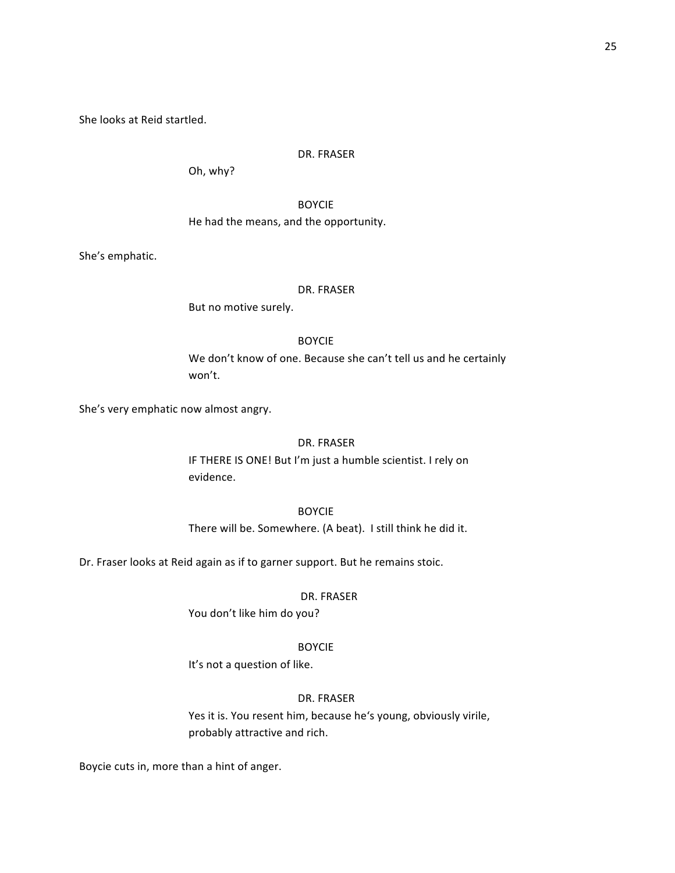She looks at Reid startled.

#### DR. FRASER

Oh, why?

BOYCIE He had the means, and the opportunity.

She's emphatic.

#### DR. FRASER

But no motive surely.

#### BOYCIE

We don't know of one. Because she can't tell us and he certainly won't. 

She's very emphatic now almost angry.

# DR. FRASER

IF THERE IS ONE! But I'm just a humble scientist. I rely on evidence. 

# BOYCIE

There will be. Somewhere. (A beat). I still think he did it.

Dr. Fraser looks at Reid again as if to garner support. But he remains stoic.

#### DR. FRASER

You don't like him do you?

#### BOYCIE

It's not a question of like.

# DR. FRASER

Yes it is. You resent him, because he's young, obviously virile, probably attractive and rich.

Boycie cuts in, more than a hint of anger.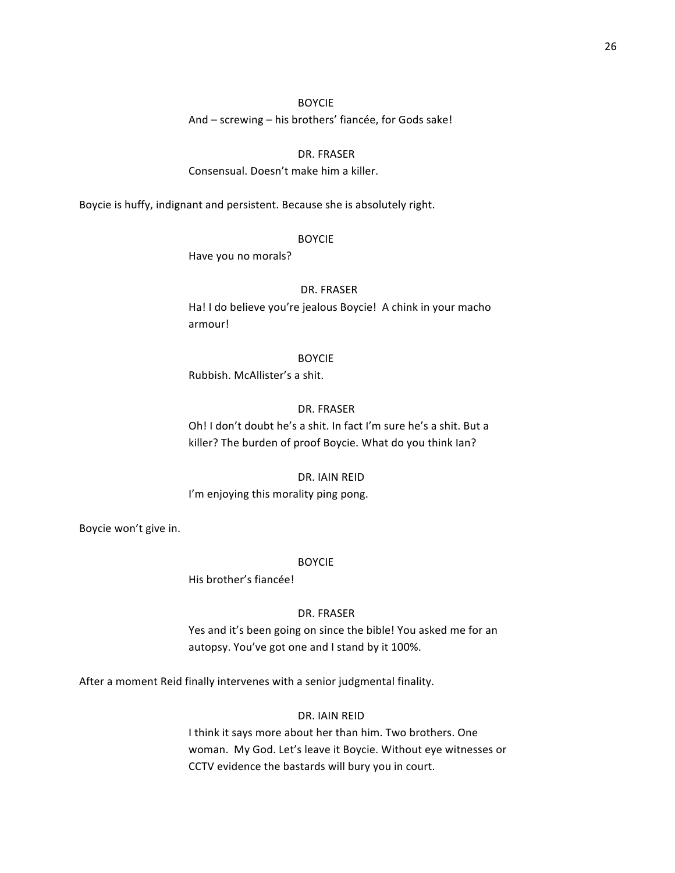And – screwing – his brothers' fiancée, for Gods sake!

# DR. FRASER

Consensual. Doesn't make him a killer.

Boycie is huffy, indignant and persistent. Because she is absolutely right.

#### BOYCIE

Have you no morals?

#### DR. FRASER

Ha! I do believe you're jealous Boycie! A chink in your macho armour!

#### BOYCIE

Rubbish. McAllister's a shit.

#### DR. FRASER

Oh! I don't doubt he's a shit. In fact I'm sure he's a shit. But a killer? The burden of proof Boycie. What do you think lan?

#### DR. IAIN REID

I'm enjoying this morality ping pong.

Boycie won't give in.

#### BOYCIE

His brother's fiancée!

#### DR. FRASER

Yes and it's been going on since the bible! You asked me for an autopsy. You've got one and I stand by it 100%.

After a moment Reid finally intervenes with a senior judgmental finality.

# DR. IAIN REID

I think it says more about her than him. Two brothers. One woman. My God. Let's leave it Boycie. Without eye witnesses or CCTV evidence the bastards will bury you in court.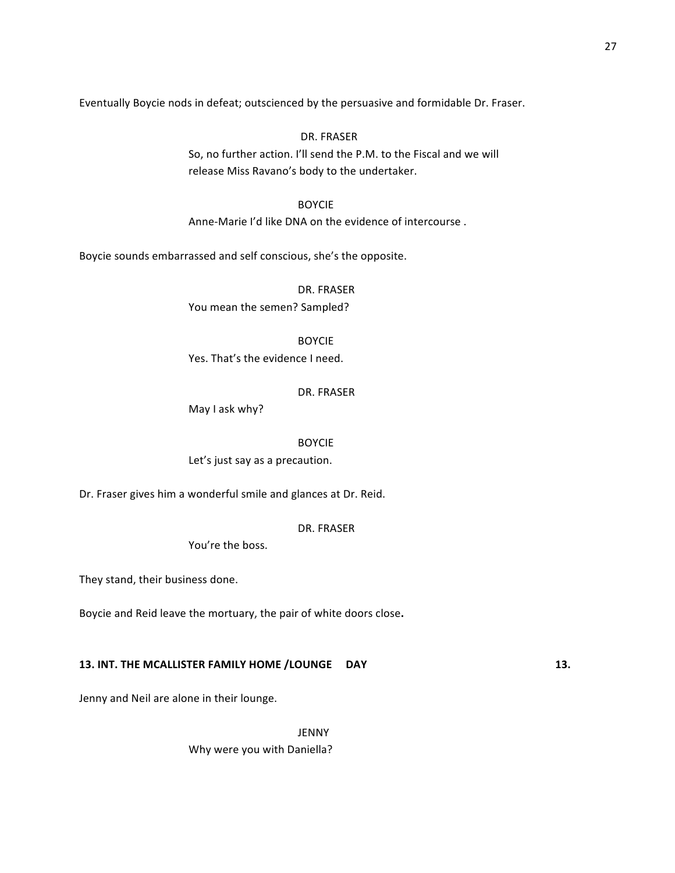Eventually Boycie nods in defeat; outscienced by the persuasive and formidable Dr. Fraser.

DR. FRASER So, no further action. I'll send the P.M. to the Fiscal and we will release Miss Ravano's body to the undertaker.

BOYCIE Anne-Marie I'd like DNA on the evidence of intercourse .

Boycie sounds embarrassed and self conscious, she's the opposite.

DR. FRASER You mean the semen? Sampled?

BOYCIE

Yes. That's the evidence I need.

#### DR. FRASER

May I ask why?

BOYCIE Let's just say as a precaution.

Dr. Fraser gives him a wonderful smile and glances at Dr. Reid.

DR. FRASER

You're the boss.

They stand, their business done.

Boycie and Reid leave the mortuary, the pair of white doors close.

# **13. INT. THE MCALLISTER FAMILY HOME /LOUNGE** DAY **13.**

Jenny and Neil are alone in their lounge.

JENNY Why were you with Daniella?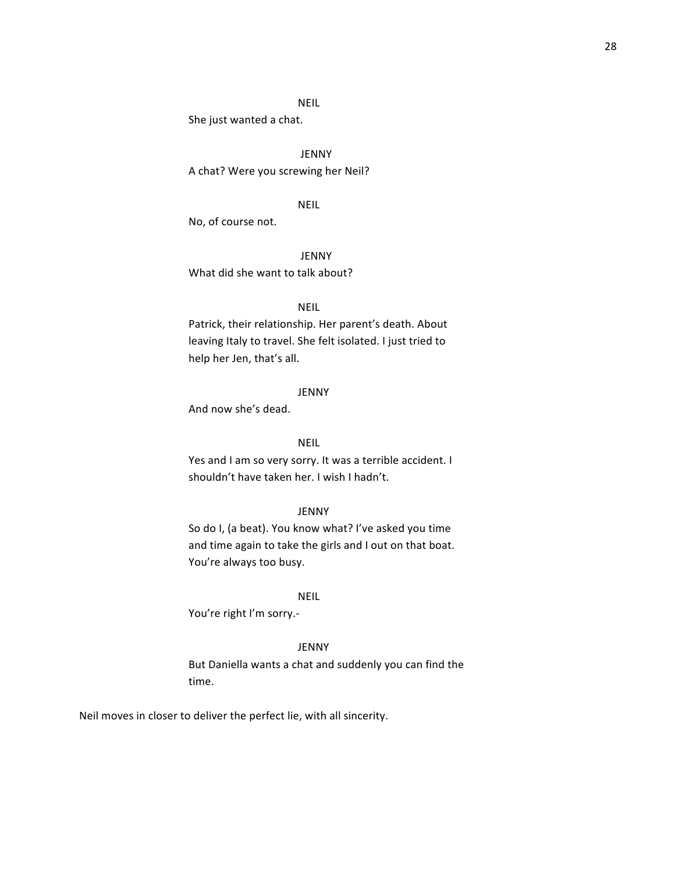# NEIL

She just wanted a chat.

JENNY A chat? Were you screwing her Neil?

# NEIL

No, of course not.

JENNY

What did she want to talk about?

#### NEIL

Patrick, their relationship. Her parent's death. About leaving Italy to travel. She felt isolated. I just tried to help her Jen, that's all.

#### JENNY

And now she's dead.

# NEIL

Yes and I am so very sorry. It was a terrible accident. I shouldn't have taken her. I wish I hadn't.

# JENNY

So do I, (a beat). You know what? I've asked you time and time again to take the girls and I out on that boat. You're always too busy.

#### NEIL

You're right I'm sorry.-

#### JENNY

But Daniella wants a chat and suddenly you can find the time. 

Neil moves in closer to deliver the perfect lie, with all sincerity.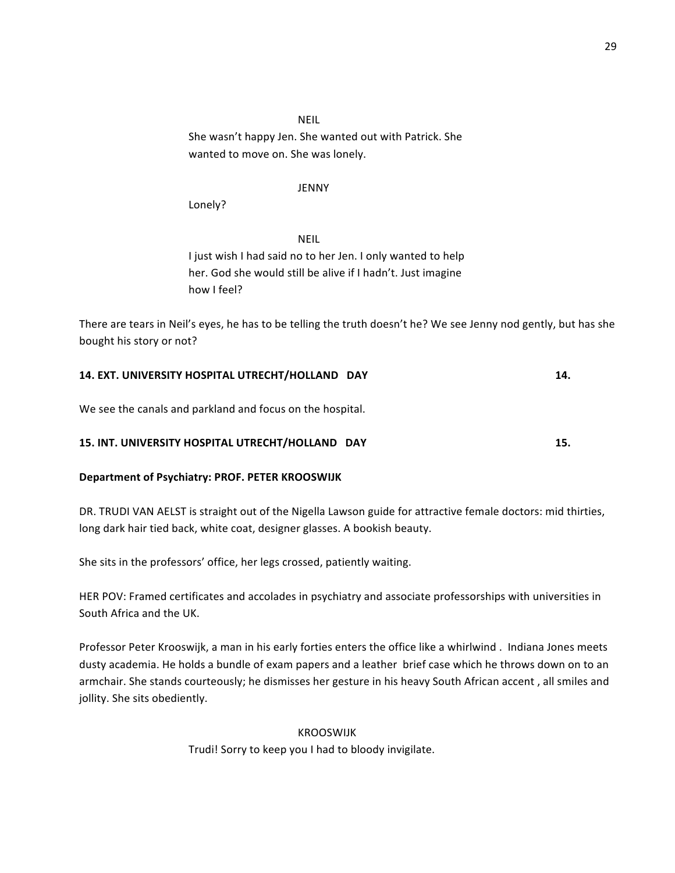NEIL She wasn't happy Jen. She wanted out with Patrick. She wanted to move on. She was lonely.

# JENNY

Lonely?

NEIL I just wish I had said no to her Jen. I only wanted to help her. God she would still be alive if I hadn't. Just imagine how I feel?

There are tears in Neil's eyes, he has to be telling the truth doesn't he? We see Jenny nod gently, but has she bought his story or not?

# **14. EXT. UNIVERSITY HOSPITAL UTRECHT/HOLLAND DAY 14. 14.**

We see the canals and parkland and focus on the hospital.

# **15. INT. UNIVERSITY HOSPITAL UTRECHT/HOLLAND DAY 15. 15.**

# **Department of Psychiatry: PROF. PETER KROOSWIJK**

DR. TRUDI VAN AELST is straight out of the Nigella Lawson guide for attractive female doctors: mid thirties, long dark hair tied back, white coat, designer glasses. A bookish beauty.

She sits in the professors' office, her legs crossed, patiently waiting.

HER POV: Framed certificates and accolades in psychiatry and associate professorships with universities in South Africa and the UK.

Professor Peter Krooswijk, a man in his early forties enters the office like a whirlwind . Indiana Jones meets dusty academia. He holds a bundle of exam papers and a leather brief case which he throws down on to an armchair. She stands courteously; he dismisses her gesture in his heavy South African accent, all smiles and jollity. She sits obediently.

> KROOSWIJK Trudi! Sorry to keep you I had to bloody invigilate.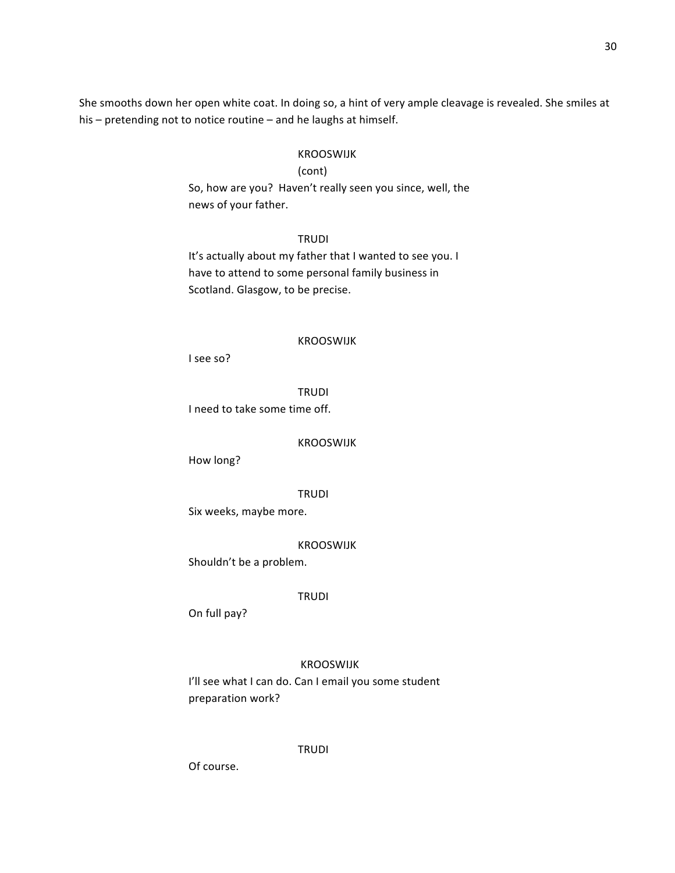She smooths down her open white coat. In doing so, a hint of very ample cleavage is revealed. She smiles at his  $-$  pretending not to notice routine  $-$  and he laughs at himself.

#### KROOSWIJK

# (cont)

So, how are you? Haven't really seen you since, well, the news of your father.

TRUDI It's actually about my father that I wanted to see you. I have to attend to some personal family business in Scotland. Glasgow, to be precise.

#### KROOSWIJK

I see so?

TRUDI

I need to take some time off.

# KROOSWIJK

How long? 

# TRUDI

Six weeks, maybe more.

# KROOSWIJK

Shouldn't be a problem.

#### TRUDI

On full pay?

# KROOSWIJK

I'll see what I can do. Can I email you some student preparation work?

TRUDI

Of course.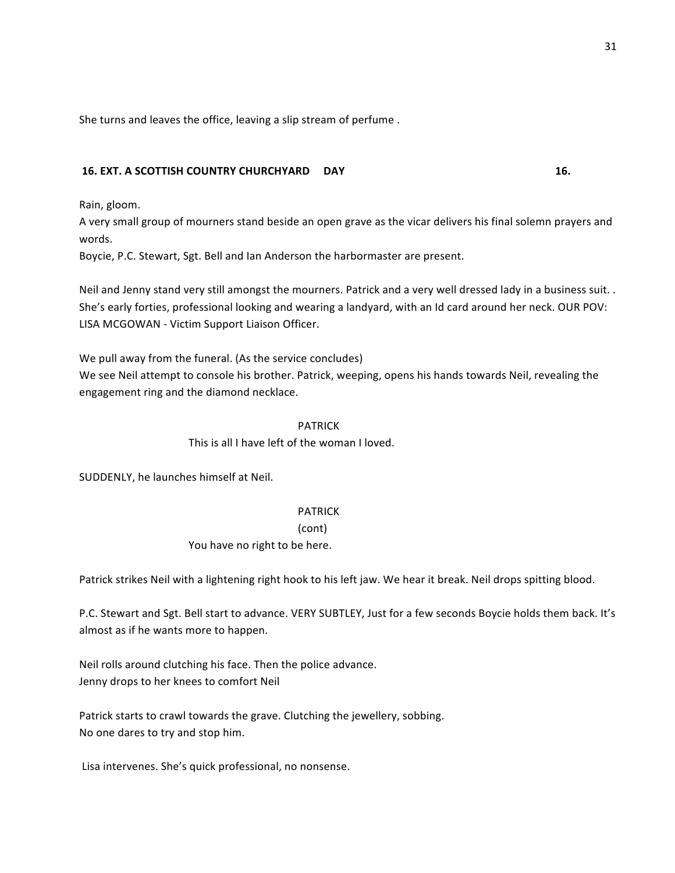She turns and leaves the office, leaving a slip stream of perfume.

# **16. EXT. A SCOTTISH COUNTRY CHURCHYARD DAY 16. 16.**

Rain, gloom.

A very small group of mourners stand beside an open grave as the vicar delivers his final solemn prayers and words.

Boycie, P.C. Stewart, Sgt. Bell and Ian Anderson the harbormaster are present.

Neil and Jenny stand very still amongst the mourners. Patrick and a very well dressed lady in a business suit. . She's early forties, professional looking and wearing a landyard, with an Id card around her neck. OUR POV: LISA MCGOWAN - Victim Support Liaison Officer.

We pull away from the funeral. (As the service concludes) We see Neil attempt to console his brother. Patrick, weeping, opens his hands towards Neil, revealing the engagement ring and the diamond necklace.

# PATRICK

This is all I have left of the woman I loved.

SUDDENLY, he launches himself at Neil.

# PATRICK

(cont)

You have no right to be here.

Patrick strikes Neil with a lightening right hook to his left jaw. We hear it break. Neil drops spitting blood.

P.C. Stewart and Sgt. Bell start to advance. VERY SUBTLEY, Just for a few seconds Boycie holds them back. It's almost as if he wants more to happen.

Neil rolls around clutching his face. Then the police advance. Jenny drops to her knees to comfort Neil

Patrick starts to crawl towards the grave. Clutching the jewellery, sobbing. No one dares to try and stop him.

Lisa intervenes. She's quick professional, no nonsense.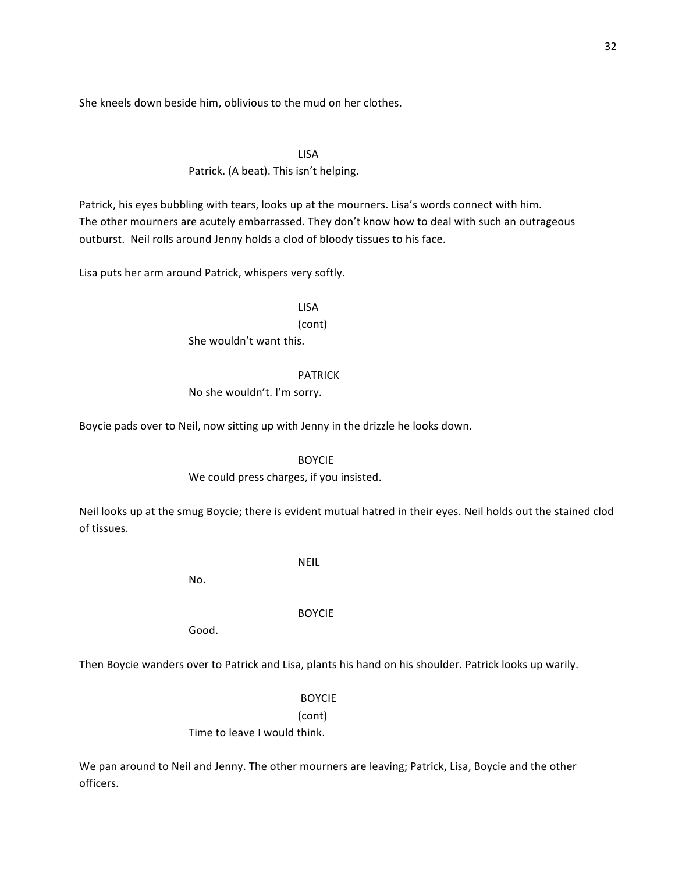She kneels down beside him, oblivious to the mud on her clothes.

LISA Patrick. (A beat). This isn't helping.

Patrick, his eyes bubbling with tears, looks up at the mourners. Lisa's words connect with him. The other mourners are acutely embarrassed. They don't know how to deal with such an outrageous outburst. Neil rolls around Jenny holds a clod of bloody tissues to his face.

Lisa puts her arm around Patrick, whispers very softly.

LISA

(cont) She wouldn't want this.

#### PATRICK

No she wouldn't. I'm sorry.

Boycie pads over to Neil, now sitting up with Jenny in the drizzle he looks down.

BOYCIE

We could press charges, if you insisted.

Neil looks up at the smug Boycie; there is evident mutual hatred in their eyes. Neil holds out the stained clod of tissues.

NEIL

No.

BOYCIE

Good.

Then Boycie wanders over to Patrick and Lisa, plants his hand on his shoulder. Patrick looks up warily.

BOYCIE

(cont)

Time to leave I would think.

We pan around to Neil and Jenny. The other mourners are leaving; Patrick, Lisa, Boycie and the other officers.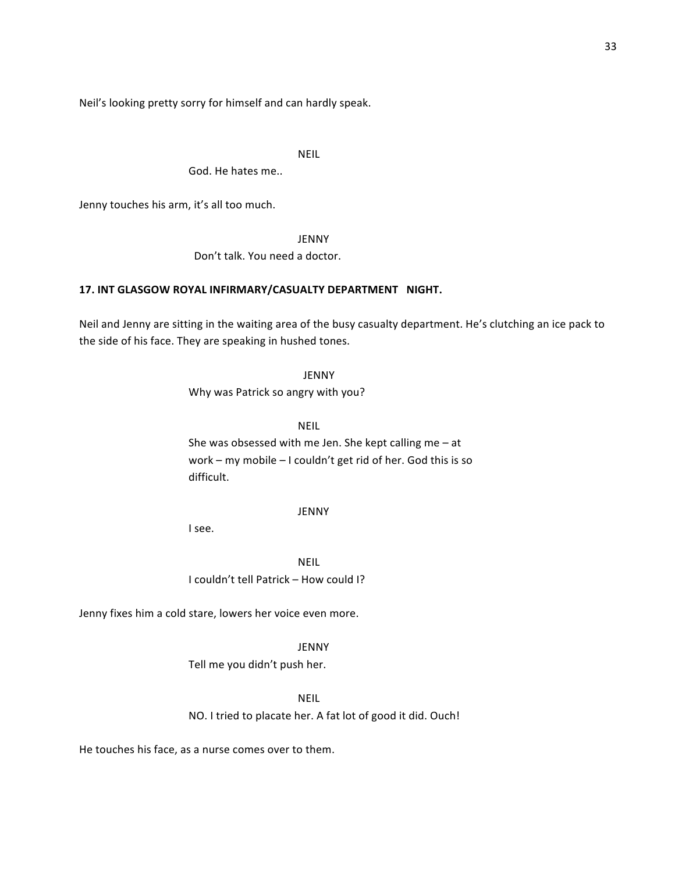Neil's looking pretty sorry for himself and can hardly speak.

NEIL

God. He hates me..

Jenny touches his arm, it's all too much.

JENNY

Don't talk. You need a doctor.

# 17. INT GLASGOW ROYAL INFIRMARY/CASUALTY DEPARTMENT NIGHT.

Neil and Jenny are sitting in the waiting area of the busy casualty department. He's clutching an ice pack to the side of his face. They are speaking in hushed tones.

JENNY

Why was Patrick so angry with you?

NEIL

She was obsessed with me Jen. She kept calling me  $-$  at work – my mobile – I couldn't get rid of her. God this is so difficult.

#### JENNY

I see.

NEIL I couldn't tell Patrick – How could I?

Jenny fixes him a cold stare, lowers her voice even more.

#### JENNY

Tell me you didn't push her.

NEIL

NO. I tried to placate her. A fat lot of good it did. Ouch!

He touches his face, as a nurse comes over to them.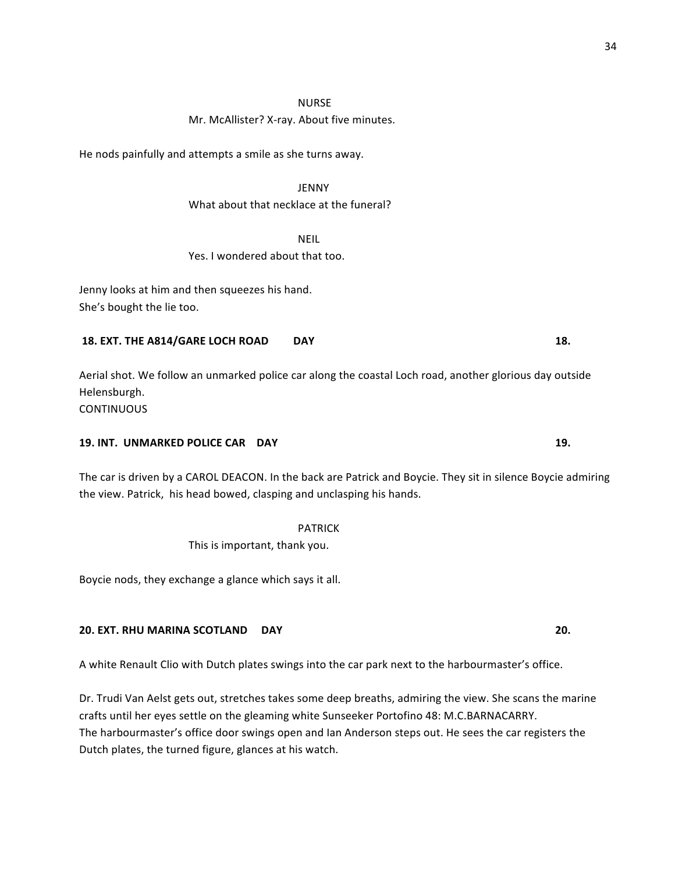#### NURSE

#### Mr. McAllister? X-ray. About five minutes.

He nods painfully and attempts a smile as she turns away.

# JENNY

# What about that necklace at the funeral?

NEIL

# Yes. I wondered about that too.

Jenny looks at him and then squeezes his hand. She's bought the lie too.

# **18.** EXT. THE A814/GARE LOCH ROAD DAY **18. 18.**

Aerial shot. We follow an unmarked police car along the coastal Loch road, another glorious day outside Helensburgh.

**CONTINUOUS** 

# **19. INT. UNMARKED POLICE CAR DAY 19. 19. 19. 19. 19.**

The car is driven by a CAROL DEACON. In the back are Patrick and Boycie. They sit in silence Boycie admiring the view. Patrick, his head bowed, clasping and unclasping his hands.

> PATRICK This is important, thank you.

Boycie nods, they exchange a glance which says it all.

# **20. EXT. RHU MARINA SCOTLAND DAY 20.**

A white Renault Clio with Dutch plates swings into the car park next to the harbourmaster's office.

Dr. Trudi Van Aelst gets out, stretches takes some deep breaths, admiring the view. She scans the marine crafts until her eyes settle on the gleaming white Sunseeker Portofino 48: M.C.BARNACARRY. The harbourmaster's office door swings open and Ian Anderson steps out. He sees the car registers the Dutch plates, the turned figure, glances at his watch.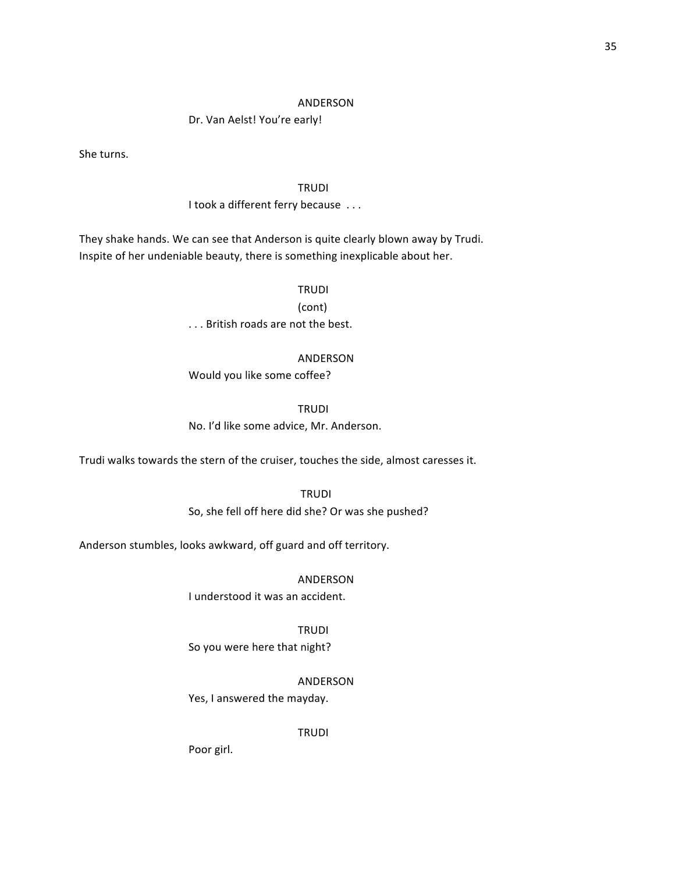#### ANDERSON

Dr. Van Aelst! You're early!

She turns.

# TRUDI

# I took a different ferry because ...

They shake hands. We can see that Anderson is quite clearly blown away by Trudi. Inspite of her undeniable beauty, there is something inexplicable about her.

#### TRUDI

(cont)

... British roads are not the best.

#### ANDERSON

Would you like some coffee?

TRUDI

No. I'd like some advice, Mr. Anderson.

Trudi walks towards the stern of the cruiser, touches the side, almost caresses it.

**TRUDI** 

So, she fell off here did she? Or was she pushed?

Anderson stumbles, looks awkward, off guard and off territory.

ANDERSON

I understood it was an accident.

TRUDI

So you were here that night?

ANDERSON

Yes, I answered the mayday.

TRUDI

Poor girl.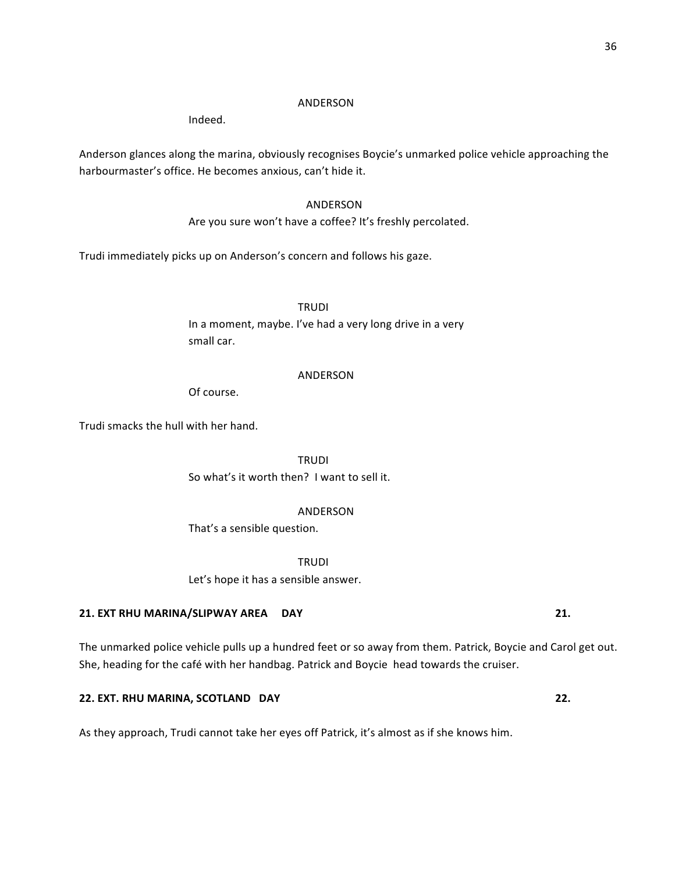# ANDERSON

Indeed.

Anderson glances along the marina, obviously recognises Boycie's unmarked police vehicle approaching the harbourmaster's office. He becomes anxious, can't hide it.

# ANDERSON

Are you sure won't have a coffee? It's freshly percolated.

Trudi immediately picks up on Anderson's concern and follows his gaze.

**TRUDI** In a moment, maybe. I've had a very long drive in a very small car.

#### ANDERSON

Of course.

Trudi smacks the hull with her hand.

TRUDI So what's it worth then? I want to sell it.

#### ANDERSON

That's a sensible question.

TRUDI

Let's hope it has a sensible answer.

# **21.** EXT RHU MARINA/SLIPWAY AREA DAY **12. 21. 21.**

The unmarked police vehicle pulls up a hundred feet or so away from them. Patrick, Boycie and Carol get out. She, heading for the café with her handbag. Patrick and Boycie head towards the cruiser.

# **22. EXT. RHU MARINA, SCOTLAND DAY 22. 22. 22.**

As they approach, Trudi cannot take her eyes off Patrick, it's almost as if she knows him.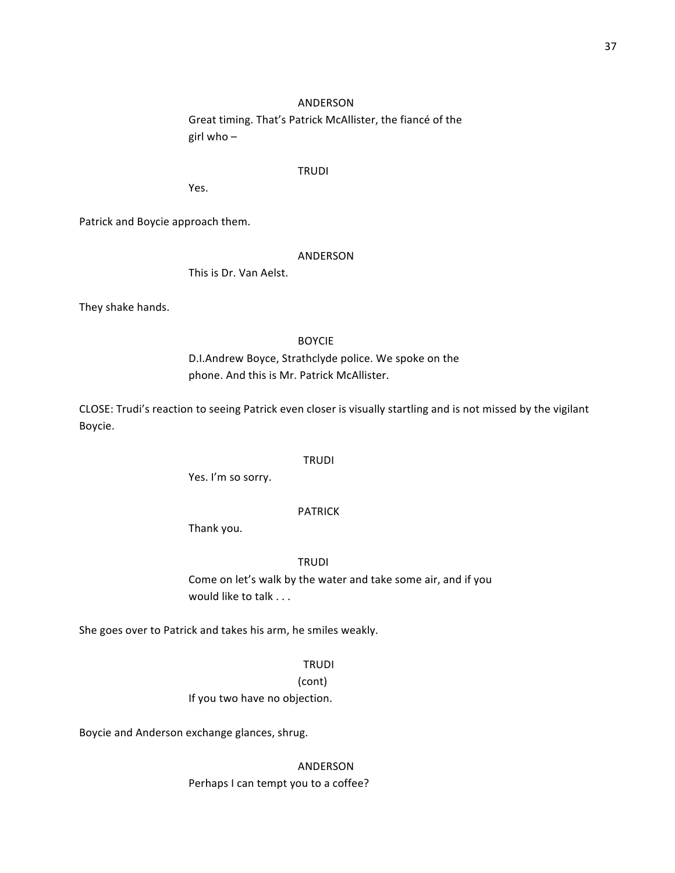# ANDERSON

Great timing. That's Patrick McAllister, the fiance of the girl who  $-$ 

#### TRUDI

Yes.

Patrick and Boycie approach them.

#### ANDERSON

This is Dr. Van Aelst.

They shake hands.

#### BOYCIE

D.I.Andrew Boyce, Strathclyde police. We spoke on the phone. And this is Mr. Patrick McAllister.

CLOSE: Trudi's reaction to seeing Patrick even closer is visually startling and is not missed by the vigilant Boycie.

#### TRUDI

Yes. I'm so sorry.

#### PATRICK

Thank you.

**TRUDI** 

Come on let's walk by the water and take some air, and if you would like to talk . . .

She goes over to Patrick and takes his arm, he smiles weakly.

# TRUDI

(cont) If you two have no objection.

Boycie and Anderson exchange glances, shrug.

ANDERSON Perhaps I can tempt you to a coffee?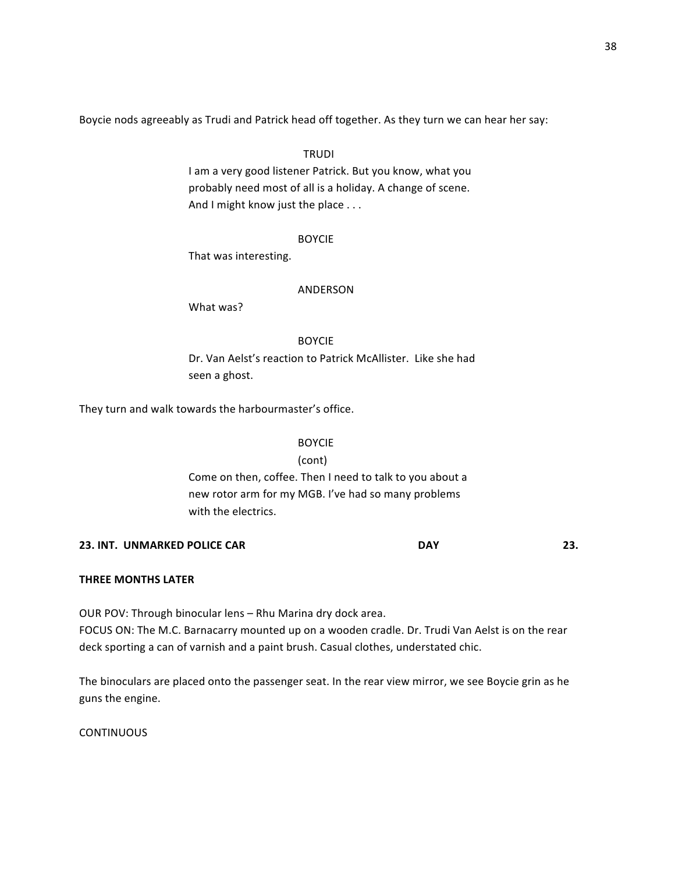Boycie nods agreeably as Trudi and Patrick head off together. As they turn we can hear her say:

# **TRUDI**

I am a very good listener Patrick. But you know, what you probably need most of all is a holiday. A change of scene. And I might know just the place . . .

#### BOYCIE

That was interesting.

#### ANDERSON

What was?

# BOYCIE

Dr. Van Aelst's reaction to Patrick McAllister. Like she had seen a ghost.

They turn and walk towards the harbourmaster's office.

BOYCIE (cont) Come on then, coffee. Then I need to talk to you about a new rotor arm for my MGB. I've had so many problems with the electrics.

# **23. INT. UNMARKED POLICE CAR DAY 23.**

# **THREE MONTHS LATER**

OUR POV: Through binocular lens - Rhu Marina dry dock area. FOCUS ON: The M.C. Barnacarry mounted up on a wooden cradle. Dr. Trudi Van Aelst is on the rear deck sporting a can of varnish and a paint brush. Casual clothes, understated chic.

The binoculars are placed onto the passenger seat. In the rear view mirror, we see Boycie grin as he guns the engine.

**CONTINUOUS**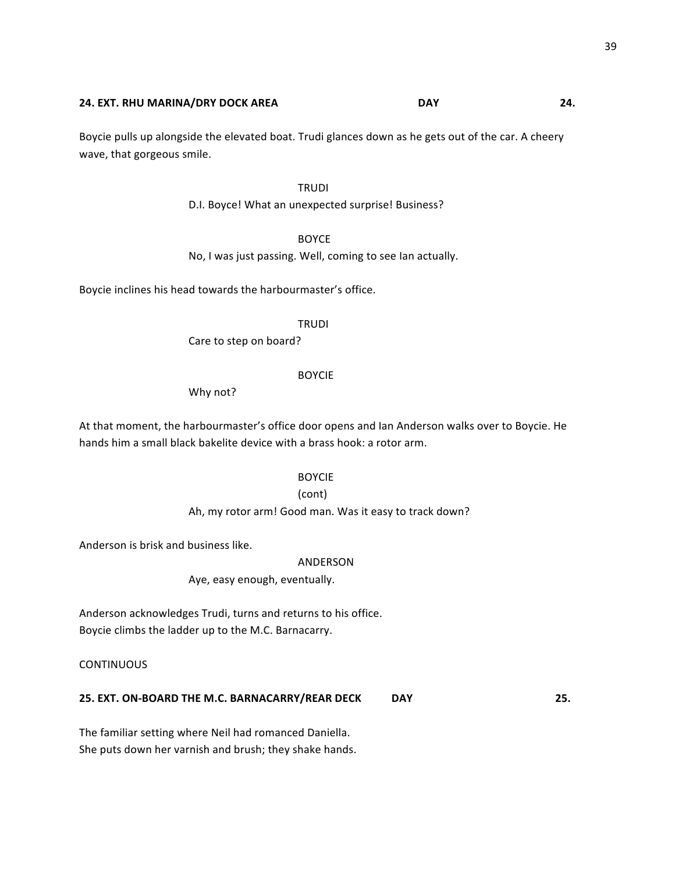#### **24.** EXT. RHU MARINA/DRY DOCK AREA **80. In the USAY** DAY **14.** 24.

Boycie pulls up alongside the elevated boat. Trudi glances down as he gets out of the car. A cheery wave, that gorgeous smile.

# TRUDI

D.I. Boyce! What an unexpected surprise! Business?

# BOYCE

No, I was just passing. Well, coming to see Ian actually.

Boycie inclines his head towards the harbourmaster's office.

#### TRUDI

Care to step on board?

#### BOYCIE

Why not?

At that moment, the harbourmaster's office door opens and Ian Anderson walks over to Boycie. He hands him a small black bakelite device with a brass hook: a rotor arm.

#### BOYCIE

#### (cont)

Ah, my rotor arm! Good man. Was it easy to track down?

Anderson is brisk and business like.

#### ANDERSON

Aye, easy enough, eventually.

Anderson acknowledges Trudi, turns and returns to his office. Boycie climbs the ladder up to the M.C. Barnacarry.

**CONTINUOUS** 

# **25. EXT. ON-BOARD THE M.C. BARNACARRY/REAR DECK DAY**  25.

The familiar setting where Neil had romanced Daniella. She puts down her varnish and brush; they shake hands.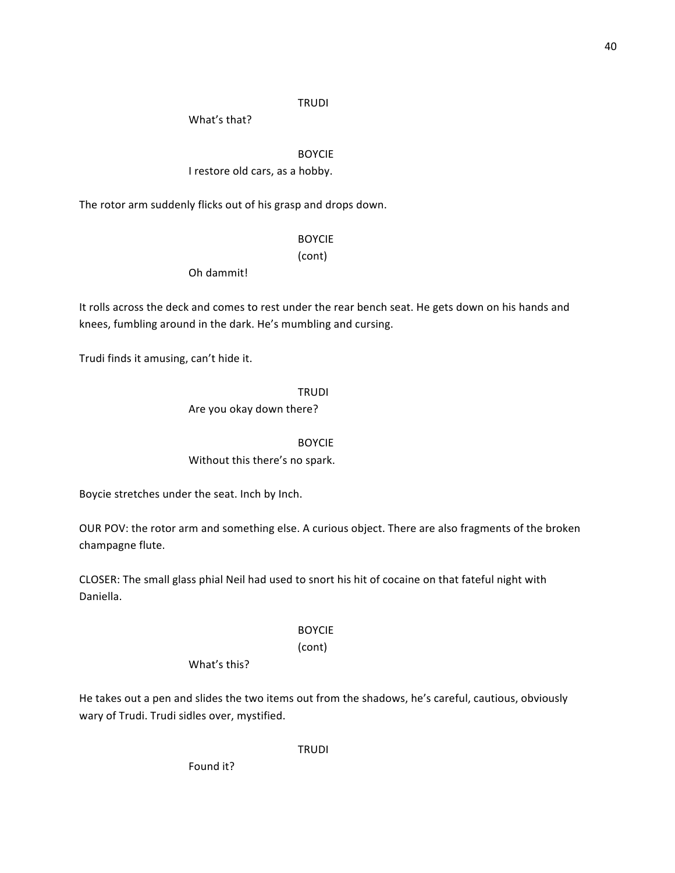# **TRUDI**

What's that?

BOYCIE I restore old cars, as a hobby.

The rotor arm suddenly flicks out of his grasp and drops down.

# BOYCIE

(cont)

Oh dammit!

It rolls across the deck and comes to rest under the rear bench seat. He gets down on his hands and knees, fumbling around in the dark. He's mumbling and cursing.

Trudi finds it amusing, can't hide it.

TRUDI

Are you okay down there?

BOYCIE

Without this there's no spark.

Boycie stretches under the seat. Inch by Inch.

OUR POV: the rotor arm and something else. A curious object. There are also fragments of the broken champagne flute.

CLOSER: The small glass phial Neil had used to snort his hit of cocaine on that fateful night with Daniella.

# BOYCIE

# (cont)

What's this?

He takes out a pen and slides the two items out from the shadows, he's careful, cautious, obviously wary of Trudi. Trudi sidles over, mystified.

TRUDI

Found it?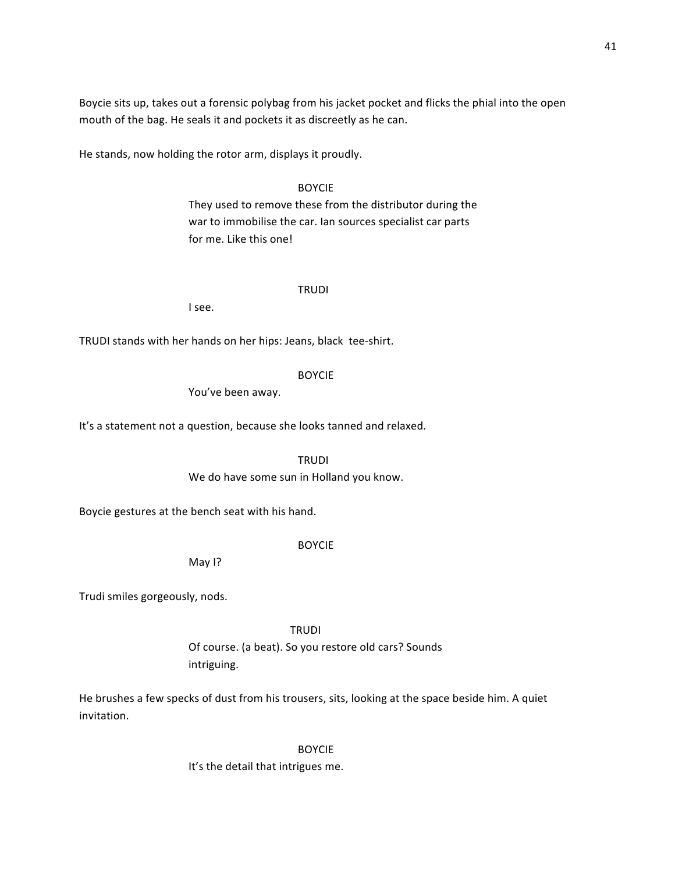Boycie sits up, takes out a forensic polybag from his jacket pocket and flicks the phial into the open mouth of the bag. He seals it and pockets it as discreetly as he can.

He stands, now holding the rotor arm, displays it proudly.

# BOYCIE

They used to remove these from the distributor during the war to immobilise the car. Ian sources specialist car parts for me. Like this one!

# TRUDI

I see.

TRUDI stands with her hands on her hips: Jeans, black tee-shirt.

#### BOYCIE

You've been away.

It's a statement not a question, because she looks tanned and relaxed.

TRUDI

We do have some sun in Holland you know.

Boycie gestures at the bench seat with his hand.

# BOYCIE

May I?

Trudi smiles gorgeously, nods.

TRUDI

Of course. (a beat). So you restore old cars? Sounds intriguing.

He brushes a few specks of dust from his trousers, sits, looking at the space beside him. A quiet invitation.

> BOYCIE It's the detail that intrigues me.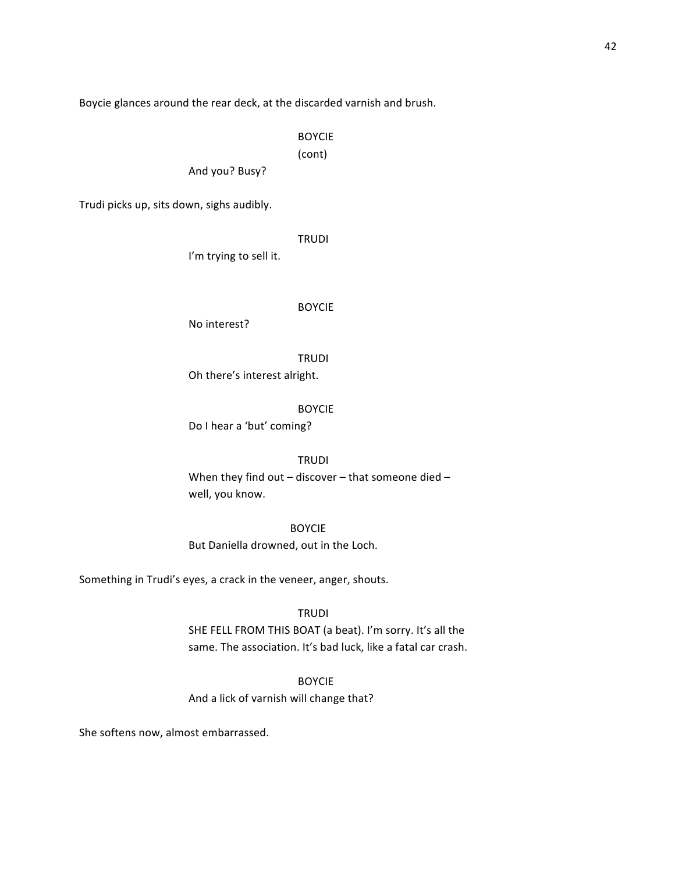Boycie glances around the rear deck, at the discarded varnish and brush.

BOYCIE

(cont)

And you? Busy?

Trudi picks up, sits down, sighs audibly.

TRUDI

I'm trying to sell it.

#### BOYCIE

No interest?

TRUDI

Oh there's interest alright.

BOYCIE

Do I hear a 'but' coming?

#### TRUDI

When they find out – discover – that someone died – well, you know.

BOYCIE But Daniella drowned, out in the Loch.

Something in Trudi's eyes, a crack in the veneer, anger, shouts.

TRUDI

SHE FELL FROM THIS BOAT (a beat). I'm sorry. It's all the same. The association. It's bad luck, like a fatal car crash.

BOYCIE

And a lick of varnish will change that?

She softens now, almost embarrassed.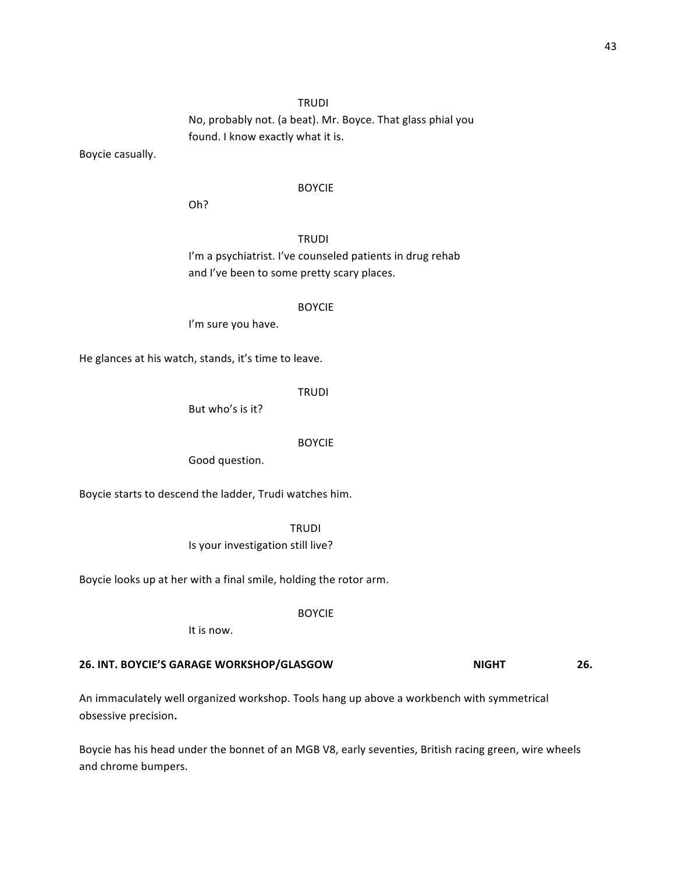# **TRUDI**

No, probably not. (a beat). Mr. Boyce. That glass phial you found. I know exactly what it is.

Boycie casually.

#### BOYCIE

Oh?

TRUDI I'm a psychiatrist. I've counseled patients in drug rehab and I've been to some pretty scary places.

#### BOYCIE

I'm sure you have.

He glances at his watch, stands, it's time to leave.

TRUDI

But who's is it?

# BOYCIE

Good question.

Boycie starts to descend the ladder, Trudi watches him.

TRUDI Is your investigation still live?

Boycie looks up at her with a final smile, holding the rotor arm.

BOYCIE

It is now.

# **26. INT. BOYCIE'S GARAGE WORKSHOP/GLASGOW NIGHT 26.**

An immaculately well organized workshop. Tools hang up above a workbench with symmetrical obsessive precision**.**

Boycie has his head under the bonnet of an MGB V8, early seventies, British racing green, wire wheels and chrome bumpers.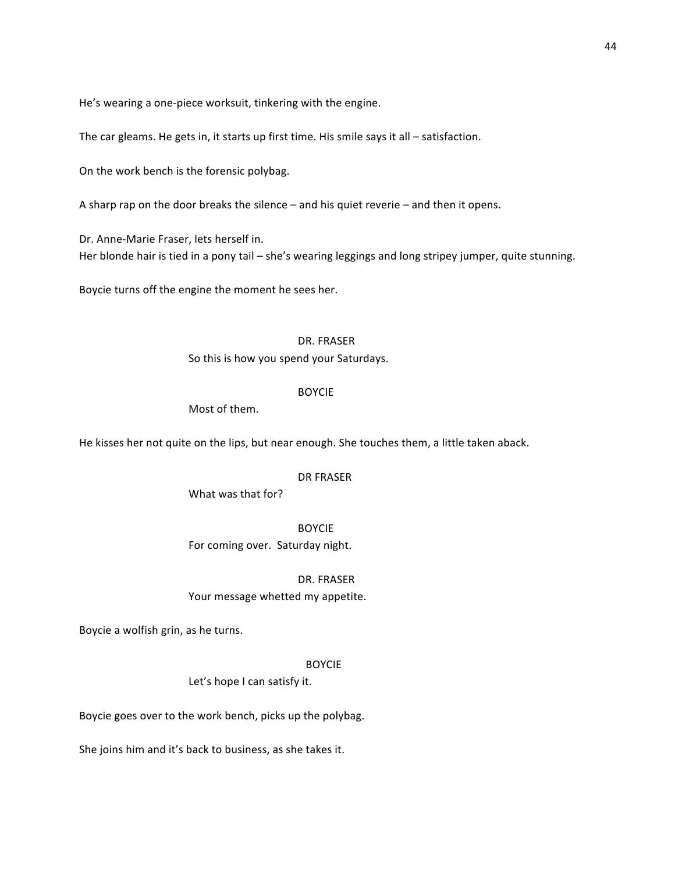He's wearing a one-piece worksuit, tinkering with the engine.

The car gleams. He gets in, it starts up first time. His smile says it all – satisfaction.

On the work bench is the forensic polybag.

A sharp rap on the door breaks the silence  $-$  and his quiet reverie  $-$  and then it opens.

Dr. Anne-Marie Fraser, lets herself in. Her blonde hair is tied in a pony tail – she's wearing leggings and long stripey jumper, quite stunning.

Boycie turns off the engine the moment he sees her.

#### DR. FRASER

So this is how you spend your Saturdays.

#### BOYCIE

Most of them.

He kisses her not quite on the lips, but near enough. She touches them, a little taken aback.

#### DR FRASER

What was that for?

BOYCIE For coming over. Saturday night.

#### DR. FRASER

Your message whetted my appetite.

Boycie a wolfish grin, as he turns.

#### BOYCIE

Let's hope I can satisfy it.

Boycie goes over to the work bench, picks up the polybag.

She joins him and it's back to business, as she takes it.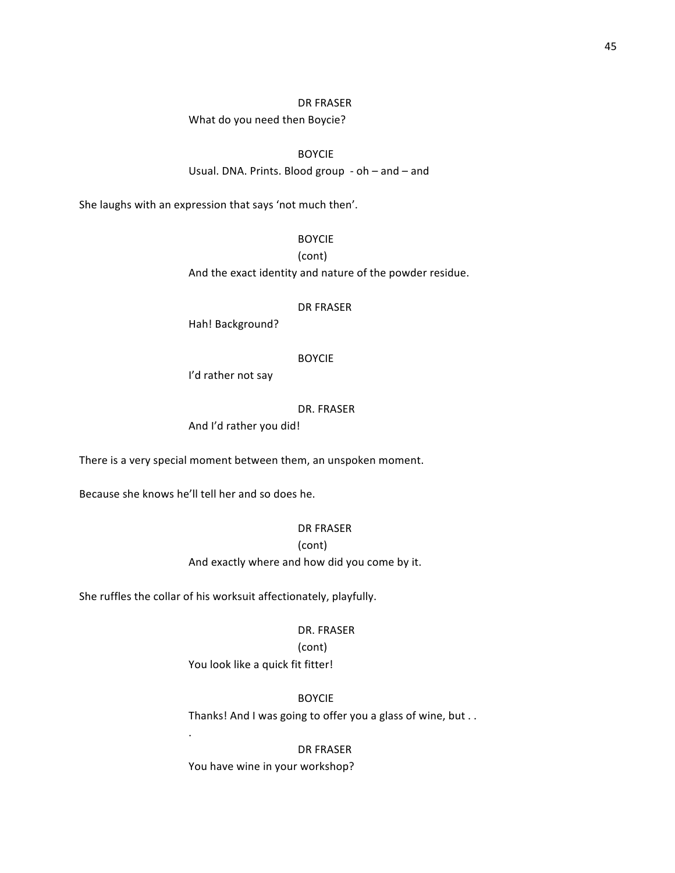#### DR FRASER

What do you need then Boycie?

# BOYCIE

Usual. DNA. Prints. Blood group  $-$  oh  $-$  and  $-$  and

She laughs with an expression that says 'not much then'.

# BOYCIE

(cont)

And the exact identity and nature of the powder residue.

#### DR FRASER

Hah! Background?

#### BOYCIE

I'd rather not say

#### DR. FRASER

And I'd rather you did!

There is a very special moment between them, an unspoken moment.

Because she knows he'll tell her and so does he.

. 

# DR FRASER

(cont)

And exactly where and how did you come by it.

She ruffles the collar of his worksuit affectionately, playfully.

#### DR. FRASER

(cont)

You look like a quick fit fitter!

# BOYCIE

Thanks! And I was going to offer you a glass of wine, but . .

# DR FRASER

You have wine in your workshop?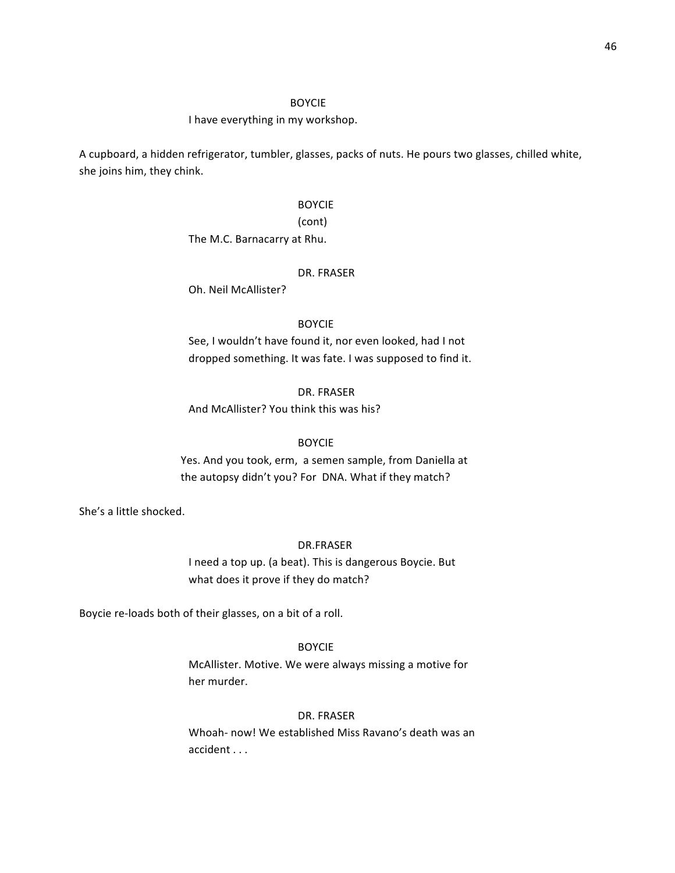#### I have everything in my workshop.

A cupboard, a hidden refrigerator, tumbler, glasses, packs of nuts. He pours two glasses, chilled white, she joins him, they chink.

# BOYCIE (cont)

The M.C. Barnacarry at Rhu.

#### DR. FRASER

Oh. Neil McAllister?

#### BOYCIE

See, I wouldn't have found it, nor even looked, had I not dropped something. It was fate. I was supposed to find it.

#### DR. FRASER

And McAllister? You think this was his?

# BOYCIE

Yes. And you took, erm, a semen sample, from Daniella at the autopsy didn't you? For DNA. What if they match?

She's a little shocked.

# DR.FRASER

I need a top up. (a beat). This is dangerous Boycie. But what does it prove if they do match?

Boycie re-loads both of their glasses, on a bit of a roll.

#### BOYCIE

McAllister. Motive. We were always missing a motive for her murder.

#### DR. FRASER

Whoah- now! We established Miss Ravano's death was an accident . . .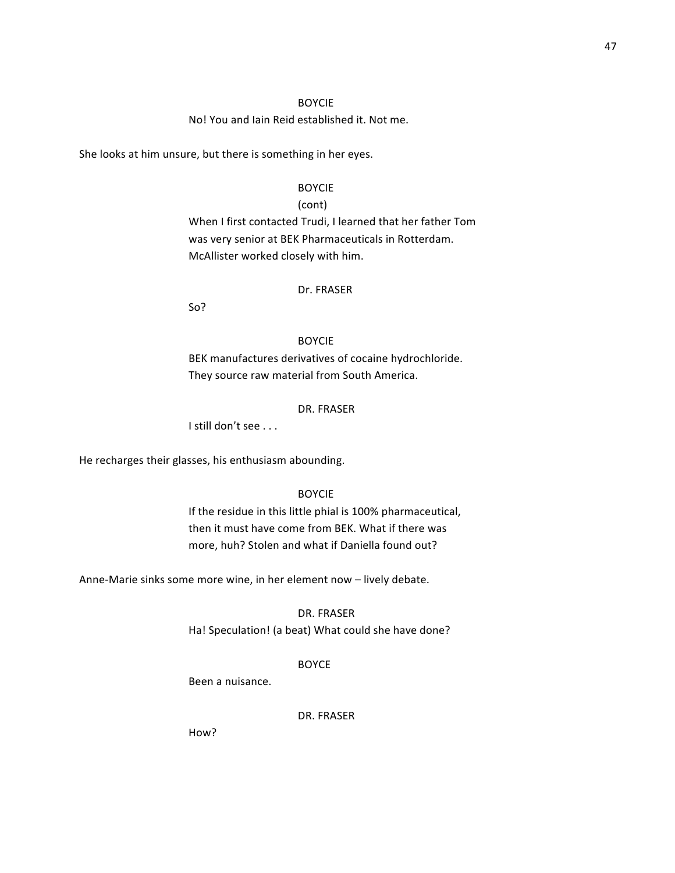No! You and Iain Reid established it. Not me.

She looks at him unsure, but there is something in her eyes.

# BOYCIE

#### (cont)

When I first contacted Trudi, I learned that her father Tom was very senior at BEK Pharmaceuticals in Rotterdam. McAllister worked closely with him.

# Dr. FRASER

So?

# BOYCIE

BEK manufactures derivatives of cocaine hydrochloride. They source raw material from South America.

#### DR. FRASER

I still don't see . . .

He recharges their glasses, his enthusiasm abounding.

# BOYCIE

If the residue in this little phial is 100% pharmaceutical, then it must have come from BEK. What if there was more, huh? Stolen and what if Daniella found out?

Anne-Marie sinks some more wine, in her element now - lively debate.

#### DR. FRASER

Ha! Speculation! (a beat) What could she have done?

#### BOYCE

Been a nuisance.

# DR. FRASER

How?